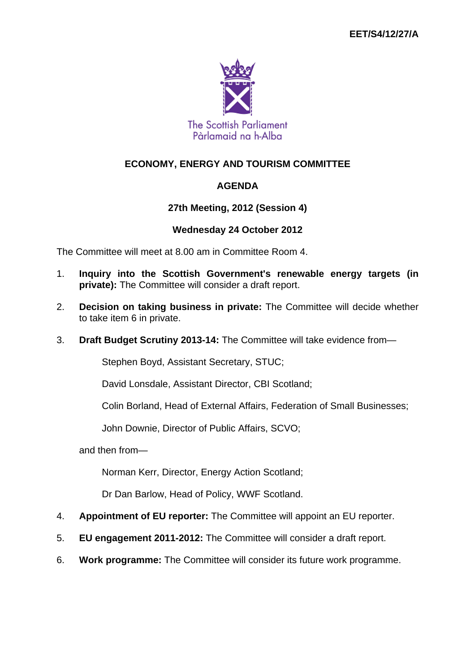

# **ECONOMY, ENERGY AND TOURISM COMMITTEE**

# **AGENDA**

## **27th Meeting, 2012 (Session 4)**

#### **Wednesday 24 October 2012**

The Committee will meet at 8.00 am in Committee Room 4.

- 1. **Inquiry into the Scottish Government's renewable energy targets (in private):** The Committee will consider a draft report.
- 2. **Decision on taking business in private:** The Committee will decide whether to take item 6 in private.
- 3. **Draft Budget Scrutiny 2013-14:** The Committee will take evidence from—

Stephen Boyd, Assistant Secretary, STUC;

David Lonsdale, Assistant Director, CBI Scotland;

Colin Borland, Head of External Affairs, Federation of Small Businesses;

John Downie, Director of Public Affairs, SCVO;

and then from—

Norman Kerr, Director, Energy Action Scotland;

Dr Dan Barlow, Head of Policy, WWF Scotland.

- 4. **Appointment of EU reporter:** The Committee will appoint an EU reporter.
- 5. **EU engagement 2011-2012:** The Committee will consider a draft report.
- 6. **Work programme:** The Committee will consider its future work programme.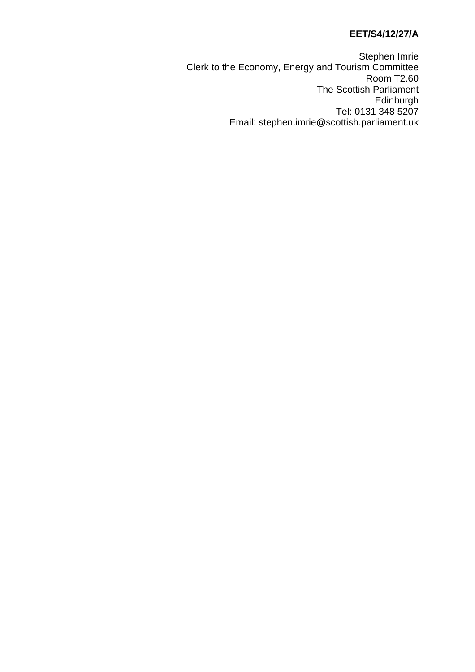#### **EET/S4/12/27/A**

Stephen Imrie Clerk to the Economy, Energy and Tourism Committee Room T2.60 The Scottish Parliament Edinburgh Tel: 0131 348 5207 Email: stephen.imrie@scottish.parliament.uk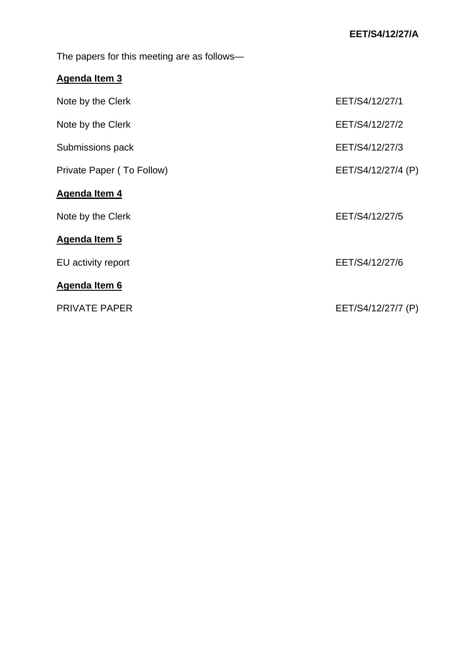The papers for this meeting are as follows—

# **Agenda Item 3**

| Note by the Clerk         | EET/S4/12/27/1     |
|---------------------------|--------------------|
| Note by the Clerk         | EET/S4/12/27/2     |
| Submissions pack          | EET/S4/12/27/3     |
| Private Paper (To Follow) | EET/S4/12/27/4 (P) |
| Agenda Item 4             |                    |
| Note by the Clerk         | EET/S4/12/27/5     |
| Agenda Item 5             |                    |
| EU activity report        | EET/S4/12/27/6     |
| Agenda Item 6             |                    |
| <b>PRIVATE PAPER</b>      | EET/S4/12/27/7 (P) |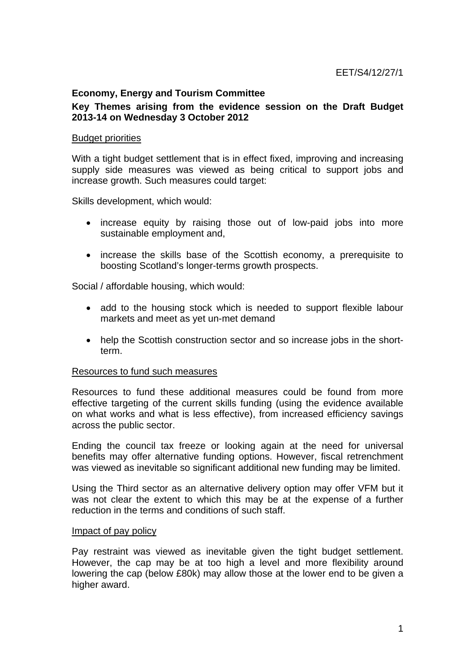#### **Economy, Energy and Tourism Committee**

#### **Key Themes arising from the evidence session on the Draft Budget 2013-14 on Wednesday 3 October 2012**

#### Budget priorities

With a tight budget settlement that is in effect fixed, improving and increasing supply side measures was viewed as being critical to support jobs and increase growth. Such measures could target:

Skills development, which would:

- increase equity by raising those out of low-paid jobs into more sustainable employment and,
- increase the skills base of the Scottish economy, a prerequisite to boosting Scotland's longer-terms growth prospects.

Social / affordable housing, which would:

- add to the housing stock which is needed to support flexible labour markets and meet as yet un-met demand
- help the Scottish construction sector and so increase jobs in the shortterm.

#### Resources to fund such measures

Resources to fund these additional measures could be found from more effective targeting of the current skills funding (using the evidence available on what works and what is less effective), from increased efficiency savings across the public sector.

Ending the council tax freeze or looking again at the need for universal benefits may offer alternative funding options. However, fiscal retrenchment was viewed as inevitable so significant additional new funding may be limited.

Using the Third sector as an alternative delivery option may offer VFM but it was not clear the extent to which this may be at the expense of a further reduction in the terms and conditions of such staff.

#### Impact of pay policy

Pay restraint was viewed as inevitable given the tight budget settlement. However, the cap may be at too high a level and more flexibility around lowering the cap (below £80k) may allow those at the lower end to be given a higher award.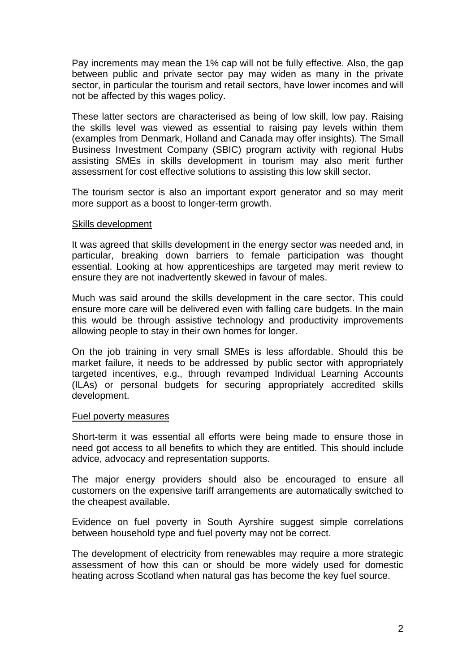Pay increments may mean the 1% cap will not be fully effective. Also, the gap between public and private sector pay may widen as many in the private sector, in particular the tourism and retail sectors, have lower incomes and will not be affected by this wages policy.

These latter sectors are characterised as being of low skill, low pay. Raising the skills level was viewed as essential to raising pay levels within them (examples from Denmark, Holland and Canada may offer insights). The Small Business Investment Company (SBIC) program activity with regional Hubs assisting SMEs in skills development in tourism may also merit further assessment for cost effective solutions to assisting this low skill sector.

The tourism sector is also an important export generator and so may merit more support as a boost to longer-term growth.

#### Skills development

It was agreed that skills development in the energy sector was needed and, in particular, breaking down barriers to female participation was thought essential. Looking at how apprenticeships are targeted may merit review to ensure they are not inadvertently skewed in favour of males.

Much was said around the skills development in the care sector. This could ensure more care will be delivered even with falling care budgets. In the main this would be through assistive technology and productivity improvements allowing people to stay in their own homes for longer.

On the job training in very small SMEs is less affordable. Should this be market failure, it needs to be addressed by public sector with appropriately targeted incentives, e.g., through revamped Individual Learning Accounts (ILAs) or personal budgets for securing appropriately accredited skills development.

#### Fuel poverty measures

Short-term it was essential all efforts were being made to ensure those in need got access to all benefits to which they are entitled. This should include advice, advocacy and representation supports.

The major energy providers should also be encouraged to ensure all customers on the expensive tariff arrangements are automatically switched to the cheapest available.

Evidence on fuel poverty in South Ayrshire suggest simple correlations between household type and fuel poverty may not be correct.

The development of electricity from renewables may require a more strategic assessment of how this can or should be more widely used for domestic heating across Scotland when natural gas has become the key fuel source.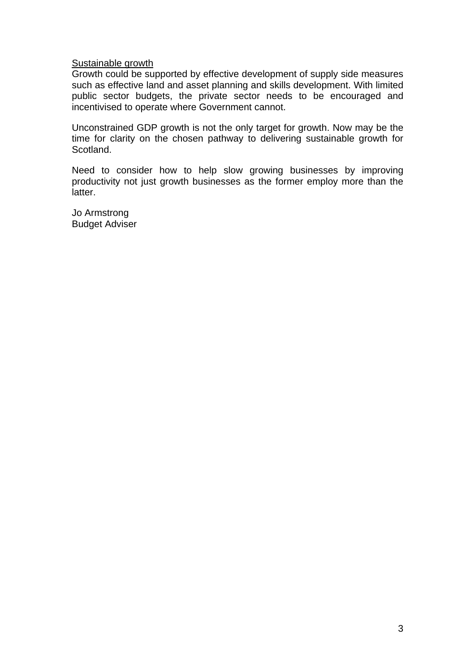Sustainable growth

Growth could be supported by effective development of supply side measures such as effective land and asset planning and skills development. With limited public sector budgets, the private sector needs to be encouraged and incentivised to operate where Government cannot.

Unconstrained GDP growth is not the only target for growth. Now may be the time for clarity on the chosen pathway to delivering sustainable growth for Scotland.

Need to consider how to help slow growing businesses by improving productivity not just growth businesses as the former employ more than the latter.

Jo Armstrong Budget Adviser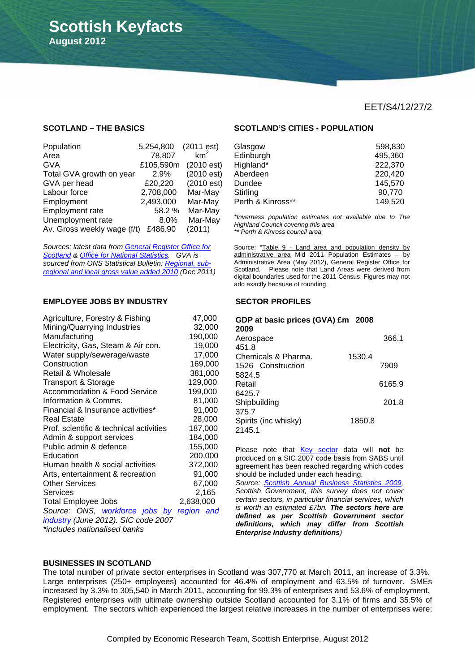#### **SCOTLAND – THE BASICS**

**August 2012**

**Scottish Keyfacts** 

í

| Population                  | 5,254,800 | (2011est)  |
|-----------------------------|-----------|------------|
| Area                        | 78,807    | $km^2$     |
| <b>GVA</b>                  | £105,590m | (2010est)  |
| Total GVA growth on year    | 2.9%      | (2010est)  |
| GVA per head                | £20,220   | (2010 est) |
| Labour force                | 2,708,000 | Mar-May    |
| Employment                  | 2,493,000 | Mar-May    |
| Employment rate             | 58.2%     | Mar-May    |
| Unemployment rate           | 8.0%      | Mar-May    |
| Av. Gross weekly wage (f/t) | £486.90   | (2011)     |

*Sources: latest data from General Register Office for Scotland & Office for National Statistics. GVA is sourced from ONS Statistical Bulletin: Regional, subregional and local gross value added 2010 (Dec 2011)*

#### **EMPLOYEE JOBS BY INDUSTRY**

| Agriculture, Forestry & Fishing           | 47,000    |
|-------------------------------------------|-----------|
| Mining/Quarrying Industries               | 32,000    |
| Manufacturing                             | 190,000   |
| Electricity, Gas, Steam & Air con.        | 19,000    |
| Water supply/sewerage/waste               | 17,000    |
| Construction                              | 169,000   |
| Retail & Wholesale                        | 381,000   |
| <b>Transport &amp; Storage</b>            | 129,000   |
| <b>Accommodation &amp; Food Service</b>   | 199,000   |
| Information & Comms.                      | 81,000    |
| Financial & Insurance activities*         | 91,000    |
| Real Estate                               | 28,000    |
| Prof. scientific & technical activities   | 187,000   |
| Admin & support services                  | 184,000   |
| Public admin & defence                    | 155,000   |
| Education                                 | 200,000   |
| Human health & social activities          | 372,000   |
| Arts, entertainment & recreation          | 91,000    |
| <b>Other Services</b>                     | 67,000    |
| Services                                  | 2,165     |
| <b>Total Employee Jobs</b>                | 2,638,000 |
| Source: ONS, workforce jobs by region and |           |
| industry (June 2012). SIC code 2007       |           |
| *includes nationalised banks              |           |

#### **SCOTLAND'S CITIES - POPULATION**

| Glasgow           | 598,830 |
|-------------------|---------|
| Edinburgh         | 495,360 |
| Highland*         | 222,370 |
| Aberdeen          | 220,420 |
| Dundee            | 145,570 |
| Stirling          | 90,770  |
| Perth & Kinross** | 149,520 |

*\*Inverness population estimates not available due to The Highland Council covering this area \*\* Perth & Kinross council area* 

Source: "Table 9 - Land area and population density by administrative area Mid 2011 Population Estimates – by Administrative Area (May 2012), General Register Office for Scotland. Please note that Land Areas were derived from digital boundaries used for the 2011 Census. Figures may not add exactly because of rounding.

#### **SECTOR PROFILES**

| GDP at basic prices (GVA) £m 2008<br>2009 |        |        |
|-------------------------------------------|--------|--------|
| Aerospace                                 |        | 366.1  |
| 451.8                                     |        |        |
| Chemicals & Pharma.                       | 1530.4 |        |
| 1526 Construction                         |        | 7909   |
| 5824.5                                    |        |        |
| Retail                                    |        | 6165.9 |
| 6425.7                                    |        |        |
| Shipbuilding                              |        | 201.8  |
| 375.7                                     |        |        |
| Spirits (inc whisky)                      | 1850.8 |        |
| 2145.1                                    |        |        |

Please note that Key sector data will **not** be produced on a SIC 2007 code basis from SABS until agreement has been reached regarding which codes should be included under each heading.

*Source: Scottish Annual Business Statistics 2009, Scottish Government, this survey does not cover certain sectors, in particular financial services, which is worth an estimated £7bn. The sectors here are defined as per Scottish Government sector definitions, which may differ from Scottish Enterprise Industry definitions)*

#### **BUSINESSES IN SCOTLAND**

The total number of private sector enterprises in Scotland was 307,770 at March 2011, an increase of 3.3%. Large enterprises (250+ employees) accounted for 46.4% of employment and 63.5% of turnover. SMEs increased by 3.3% to 305,540 in March 2011, accounting for 99.3% of enterprises and 53.6% of employment. Registered enterprises with ultimate ownership outside Scotland accounted for 3.1% of firms and 35.5% of employment. The sectors which experienced the largest relative increases in the number of enterprises were;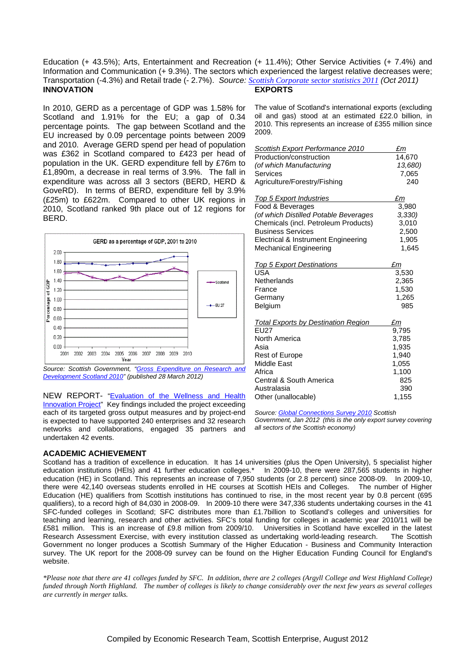Education (+ 43.5%); Arts, Entertainment and Recreation (+ 11.4%); Other Service Activities (+ 7.4%) and Information and Communication (+ 9.3%). The sectors which experienced the largest relative decreases were; Transportation (-4.3%) and Retail trade (- 2.7%). *Source: Scottish Corporate sector statistics 2011 (Oct 2011)* **INNOVATION EXPORTS** 

In 2010, GERD as a percentage of GDP was 1.58% for Scotland and 1.91% for the EU; a gap of 0.34 percentage points. The gap between Scotland and the EU increased by 0.09 percentage points between 2009 and 2010. Average GERD spend per head of population was £362 in Scotland compared to £423 per head of population in the UK. GERD expenditure fell by £76m to £1,890m, a decrease in real terms of 3.9%. The fall in expenditure was across all 3 sectors (BERD, HERD & GoveRD). In terms of BERD, expenditure fell by 3.9% (£25m) to £622m. Compared to other UK regions in 2010, Scotland ranked 9th place out of 12 regions for BERD.



*Source: Scottish Government, "Gross Expenditure on Research and Development Scotland 2010" (published 28 March 2012)* 

NEW REPORT- "Evaluation of the Wellness and Health Innovation Project" Key findings included the project exceeding each of its targeted gross output measures and by project-end is expected to have supported 240 enterprises and 32 research networks and collaborations, engaged 35 partners and undertaken 42 events.

The value of Scotland's international exports (excluding oil and gas) stood at an estimated £22.0 billion, in 2010. This represents an increase of £355 million since 2009.

| Scottish Export Performance 2010      | £m      |
|---------------------------------------|---------|
| Production/construction               | 14,670  |
| (of which Manufacturing               | 13,680) |
| Services                              | 7,065   |
| Agriculture/Forestry/Fishing          | 240     |
|                                       |         |
| Top 5 Export Industries               | £m      |
| Food & Beverages                      | 3,980   |
| (of which Distilled Potable Beverages | 3,330   |
| Chemicals (incl. Petroleum Products)  | 3,010   |
| <b>Business Services</b>              | 2,500   |
| Electrical & Instrument Engineering   | 1,905   |
| Mechanical Engineering                | 1.645   |
| <b>Top 5 Export Destinations</b>      | Łт      |

| $1.98$ $0.27$ , $0.01$ , $0.00$ , $0.00$ , $0.00$ | ---   |
|---------------------------------------------------|-------|
| USA                                               | 3.530 |
| Netherlands                                       | 2,365 |
| France                                            | 1.530 |
| Germanv                                           | 1,265 |
| Belgium                                           | 985   |
|                                                   |       |

| <b>Total Exports by Destination Region</b> | £m    |
|--------------------------------------------|-------|
| <b>EU27</b>                                | 9.795 |
| North America                              | 3,785 |
| Asia                                       | 1,935 |
| <b>Rest of Europe</b>                      | 1.940 |
| <b>Middle East</b>                         | 1,055 |
| Africa                                     | 1,100 |
| Central & South America                    | 825   |
| Australasia                                | 390   |
| Other (unallocable)                        | 1,155 |

*Source: Global Connections Survey 2010 Scottish* 

*Government, Jan 2012 (this is the only export survey covering all sectors of the Scottish economy)*

#### **ACADEMIC ACHIEVEMENT**

Scotland has a tradition of excellence in education. It has 14 universities (plus the Open University), 5 specialist higher education institutions (HEIs) and 41 further education colleges.\* In 2009-10, there were 287,565 students in higher education (HE) in Scotland. This represents an increase of 7,950 students (or 2.8 percent) since 2008-09. In 2009-10, there were 42,140 overseas students enrolled in HE courses at Scottish HEIs and Colleges. The number of Higher Education (HE) qualifiers from Scottish institutions has continued to rise, in the most recent year by 0.8 percent (695 qualifiers), to a record high of 84,030 in 2008-09. In 2009-10 there were 347,336 students undertaking courses in the 41 SFC-funded colleges in Scotland; SFC distributes more than £1.7billion to Scotland's colleges and universities for teaching and learning, research and other activities. SFC's total funding for colleges in academic year 2010/11 will be £581 million. This is an increase of £9.8 million from 2009/10. Universities in Scotland have excelled in the latest Research Assessment Exercise, with every institution classed as undertaking world-leading research. The Scottish Government no longer produces a Scottish Summary of the Higher Education - Business and Community Interaction survey. The UK report for the 2008-09 survey can be found on the Higher Education Funding Council for England's website.

*\*Please note that there are 41 colleges funded by SFC. In addition, there are 2 colleges (Argyll College and West Highland College) funded through North Highland. The number of colleges is likely to change considerably over the next few years as several colleges are currently in merger talks.*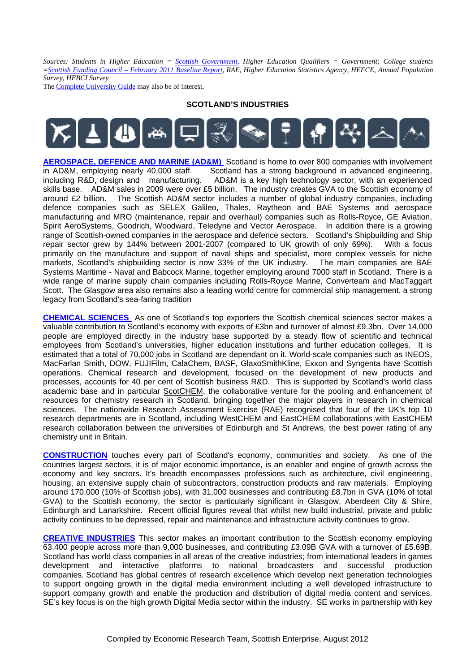*Sources: Students in Higher Education = Scottish Government, Higher Education Qualifiers = Government; College students =Scottish Funding Council – February 2011 Baseline Report, RAE, Higher Education Statistics Agency, HEFCE, Annual Population Survey, HEBCI Survey* 

The Complete University Guide may also be of interest.

#### **SCOTLAND'S INDUSTRIES**



**AEROSPACE, DEFENCE AND MARINE (AD&M)** Scotland is home to over 800 companies with involvement in AD&M, employing nearly 40,000 staff. Scotland has a strong background in advanced engineering. Scotland has a strong background in advanced engineering, including R&D, design and manufacturing. AD&M is a key high technology sector, with an experienced skills base. AD&M sales in 2009 were over £5 billion. The industry creates GVA to the Scottish economy of around £2 billion. The Scottish AD&M sector includes a number of global industry companies, including defence companies such as SELEX Galileo, Thales, Raytheon and BAE Systems and aerospace manufacturing and MRO (maintenance, repair and overhaul) companies such as Rolls-Royce, GE Aviation, Spirit AeroSystems, Goodrich, Woodward, Teledyne and Vector Aerospace. In addition there is a growing range of Scottish-owned companies in the aerospace and defence sectors. Scotland's Shipbuilding and Ship repair sector grew by 144% between 2001-2007 (compared to UK growth of only 69%). With a focus primarily on the manufacture and support of naval ships and specialist, more complex vessels for niche markets, Scotland's shipbuilding sector is now 33% of the UK industry. The main companies are BAE Systems Maritime - Naval and Babcock Marine, together employing around 7000 staff in Scotland. There is a wide range of marine supply chain companies including Rolls-Royce Marine, Converteam and MacTaggart Scott. The Glasgow area also remains also a leading world centre for commercial ship management, a strong legacy from Scotland's sea-faring tradition

**CHEMICAL SCIENCES** As one of Scotland's top exporters the Scottish chemical sciences sector makes a valuable contribution to Scotland's economy with exports of £3bn and turnover of almost £9.3bn. Over 14,000 people are employed directly in the industry base supported by a steady flow of scientific and technical employees from Scotland's universities, higher education institutions and further education colleges. It is estimated that a total of 70,000 jobs in Scotland are dependant on it. World-scale companies such as INEOS, MacFarlan Smith, DOW, FUJIFilm, CalaChem, BASF, GlaxoSmithKline, Exxon and Syngenta have Scottish operations. Chemical research and development, focused on the development of new products and processes, accounts for 40 per cent of Scottish business R&D. This is supported by Scotland's world class academic base and in particular ScotCHEM, the collaborative venture for the pooling and enhancement of resources for chemistry research in Scotland, bringing together the major players in research in chemical sciences. The nationwide Research Assessment Exercise (RAE) recognised that four of the UK's top 10 research departments are in Scotland, including WestCHEM and EastCHEM collaborations with EastCHEM research collaboration between the universities of Edinburgh and St Andrews, the best power rating of any chemistry unit in Britain.

**CONSTRUCTION** touches every part of Scotland's economy, communities and society. As one of the countries largest sectors, it is of major economic importance, is an enabler and engine of growth across the economy and key sectors. It's breadth encompasses professions such as architecture, civil engineering, housing, an extensive supply chain of subcontractors, construction products and raw materials. Employing around 170,000 (10% of Scottish jobs), with 31,000 businesses and contributing £8.7bn in GVA (10% of total GVA) to the Scottish economy, the sector is particularly significant in Glasgow, Aberdeen City & Shire, Edinburgh and Lanarkshire. Recent official figures reveal that whilst new build industrial, private and public activity continues to be depressed, repair and maintenance and infrastructure activity continues to grow.

**CREATIVE INDUSTRIES** This sector makes an important contribution to the Scottish economy employing 63,400 people across more than 9,000 businesses, and contributing £3.09B GVA with a turnover of £5.69B. Scotland has world class companies in all areas of the creative industries; from international leaders in games development and interactive platforms to national broadcasters and successful production companies. Scotland has global centres of research excellence which develop next generation technologies to support ongoing growth in the digital media environment including a well developed infrastructure to support company growth and enable the production and distribution of digital media content and services. SE's key focus is on the high growth Digital Media sector within the industry. SE works in partnership with key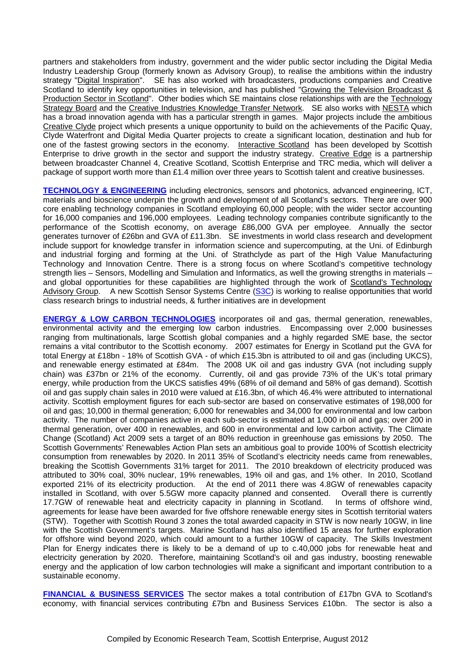partners and stakeholders from industry, government and the wider public sector including the Digital Media Industry Leadership Group (formerly known as Advisory Group), to realise the ambitions within the industry strategy "Digital Inspiration". SE has also worked with broadcasters, productions companies and Creative Scotland to identify key opportunities in television, and has published "Growing the Television Broadcast & Production Sector in Scotland". Other bodies which SE maintains close relationships with are the Technology Strategy Board and the Creative Industries Knowledge Transfer Network. SE also works with NESTA which has a broad innovation agenda with has a particular strength in games. Major projects include the ambitious Creative Clyde project which presents a unique opportunity to build on the achievements of the Pacific Quay, Clyde Waterfront and Digital Media Quarter projects to create a significant location, destination and hub for one of the fastest growing sectors in the economy. Interactive Scotland has been developed by Scottish Enterprise to drive growth in the sector and support the industry strategy. Creative Edge is a partnership between broadcaster Channel 4, Creative Scotland, Scottish Enterprise and TRC media, which will deliver a package of support worth more than £1.4 million over three years to Scottish talent and creative businesses.

**TECHNOLOGY & ENGINEERING** including electronics, sensors and photonics, advanced engineering, ICT, materials and bioscience underpin the growth and development of all Scotland's sectors. There are over 900 core enabling technology companies in Scotland employing 60,000 people; with the wider sector accounting for 16,000 companies and 196,000 employees. Leading technology companies contribute significantly to the performance of the Scottish economy, on average £86,000 GVA per employee. Annually the sector generates turnover of £26bn and GVA of £11.3bn. SE investments in world class research and development include support for knowledge transfer in information science and supercomputing, at the Uni. of Edinburgh and industrial forging and forming at the Uni. of Strathclyde as part of the High Value Manufacturing Technology and Innovation Centre. There is a strong focus on where Scotland's competitive technology strength lies – Sensors, Modelling and Simulation and Informatics, as well the growing strengths in materials – and global opportunities for these capabilities are highlighted through the work of Scotland's Technology Advisory Group. A new Scottish Sensor Systems Centre (S3C) is working to realise opportunities that world class research brings to industrial needs, & further initiatives are in development

**ENERGY & LOW CARBON TECHNOLOGIES** incorporates oil and gas, thermal generation, renewables, environmental activity and the emerging low carbon industries. Encompassing over 2,000 businesses ranging from multinationals, large Scottish global companies and a highly regarded SME base, the sector remains a vital contributor to the Scottish economy. 2007 estimates for Energy in Scotland put the GVA for total Energy at £18bn - 18% of Scottish GVA - of which £15.3bn is attributed to oil and gas (including UKCS), and renewable energy estimated at £84m. The 2008 UK oil and gas industry GVA (not including supply chain) was £37bn or 21% of the economy. Currently, oil and gas provide 73% of the UK's total primary energy, while production from the UKCS satisfies 49% (68% of oil demand and 58% of gas demand). Scottish oil and gas supply chain sales in 2010 were valued at £16.3bn, of which 46.4% were attributed to international activity. Scottish employment figures for each sub-sector are based on conservative estimates of 198,000 for oil and gas; 10,000 in thermal generation; 6,000 for renewables and 34,000 for environmental and low carbon activity. The number of companies active in each sub-sector is estimated at 1,000 in oil and gas; over 200 in thermal generation, over 400 in renewables, and 600 in environmental and low carbon activity. The Climate Change (Scotland) Act 2009 sets a target of an 80% reduction in greenhouse gas emissions by 2050. The Scottish Governments' Renewables Action Plan sets an ambitious goal to provide 100% of Scottish electricity consumption from renewables by 2020. In 2011 35% of Scotland's electricity needs came from renewables, breaking the Scottish Governments 31% target for 2011. The 2010 breakdown of electricity produced was attributed to 30% coal, 30% nuclear, 19% renewables, 19% oil and gas, and 1% other. In 2010, Scotland exported 21% of its electricity production. At the end of 2011 there was 4.8GW of renewables capacity installed in Scotland, with over 5.5GW more capacity planned and consented. Overall there is currently 17.7GW of renewable heat and electricity capacity in planning in Scotland. In terms of offshore wind, agreements for lease have been awarded for five offshore renewable energy sites in Scottish territorial waters (STW). Together with Scottish Round 3 zones the total awarded capacity in STW is now nearly 10GW, in line with the Scottish Government's targets. Marine Scotland has also identified 15 areas for further exploration for offshore wind beyond 2020, which could amount to a further 10GW of capacity. The Skills Investment Plan for Energy indicates there is likely to be a demand of up to c.40,000 jobs for renewable heat and electricity generation by 2020. Therefore, maintaining Scotland's oil and gas industry, boosting renewable energy and the application of low carbon technologies will make a significant and important contribution to a sustainable economy.

**FINANCIAL & BUSINESS SERVICES** The sector makes a total contribution of £17bn GVA to Scotland's economy, with financial services contributing £7bn and Business Services £10bn. The sector is also a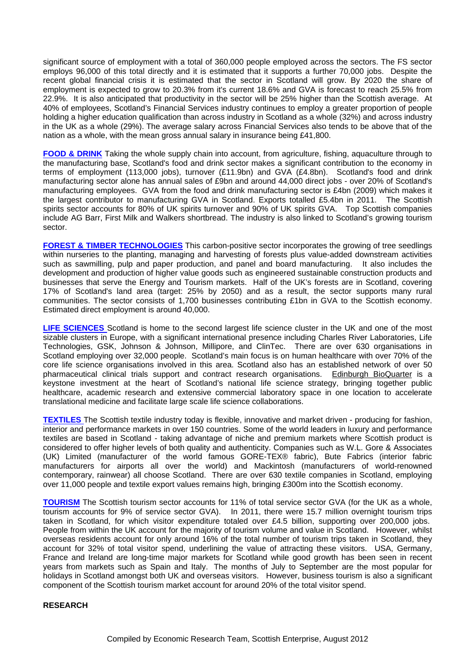significant source of employment with a total of 360,000 people employed across the sectors. The FS sector employs 96,000 of this total directly and it is estimated that it supports a further 70,000 jobs. Despite the recent global financial crisis it is estimated that the sector in Scotland will grow. By 2020 the share of employment is expected to grow to 20.3% from it's current 18.6% and GVA is forecast to reach 25.5% from 22.9%. It is also anticipated that productivity in the sector will be 25% higher than the Scottish average. At 40% of employees, Scotland's Financial Services industry continues to employ a greater proportion of people holding a higher education qualification than across industry in Scotland as a whole (32%) and across industry in the UK as a whole (29%). The average salary across Financial Services also tends to be above that of the nation as a whole, with the mean gross annual salary in insurance being £41,800.

**FOOD & DRINK** Taking the whole supply chain into account, from agriculture, fishing, aquaculture through to the manufacturing base, Scotland's food and drink sector makes a significant contribution to the economy in terms of employment (113,000 jobs), turnover  $(E11.9bn)$  and  $GVA$   $(E4.8bn)$ . Scotland's food and drink manufacturing sector alone has annual sales of £9bn and around 44,000 direct jobs - over 20% of Scotland's manufacturing employees. GVA from the food and drink manufacturing sector is £4bn (2009) which makes it the largest contributor to manufacturing GVA in Scotland. Exports totalled £5.4bn in 2011. The Scottish spirits sector accounts for 80% of UK spirits turnover and 90% of UK spirits GVA. Top Scottish companies include AG Barr, First Milk and Walkers shortbread. The industry is also linked to Scotland's growing tourism sector.

**FOREST & TIMBER TECHNOLOGIES** This carbon-positive sector incorporates the growing of tree seedlings within nurseries to the planting, managing and harvesting of forests plus value-added downstream activities such as sawmilling, pulp and paper production, and panel and board manufacturing. It also includes the development and production of higher value goods such as engineered sustainable construction products and businesses that serve the Energy and Tourism markets. Half of the UK's forests are in Scotland, covering 17% of Scotland's land area (target: 25% by 2050) and as a result, the sector supports many rural communities. The sector consists of 1,700 businesses contributing £1bn in GVA to the Scottish economy. Estimated direct employment is around 40,000.

**LIFE SCIENCES** Scotland is home to the second largest life science cluster in the UK and one of the most sizable clusters in Europe, with a significant international presence including Charles River Laboratories, Life Technologies, GSK, Johnson & Johnson, Millipore, and ClinTec. There are over 630 organisations in Scotland employing over 32,000 people. Scotland's main focus is on human healthcare with over 70% of the core life science organisations involved in this area. Scotland also has an established network of over 50 pharmaceutical clinical trials support and contract research organisations. Edinburgh BioQuarter is a keystone investment at the heart of Scotland's national life science strategy, bringing together public healthcare, academic research and extensive commercial laboratory space in one location to accelerate translational medicine and facilitate large scale life science collaborations.

**TEXTILES** The Scottish textile industry today is flexible, innovative and market driven - producing for fashion, interior and performance markets in over 150 countries. Some of the world leaders in luxury and performance textiles are based in Scotland - taking advantage of niche and premium markets where Scottish product is considered to offer higher levels of both quality and authenticity. Companies such as W.L. Gore & Associates (UK) Limited (manufacturer of the world famous GORE-TEX® fabric), Bute Fabrics (interior fabric manufacturers for airports all over the world) and Mackintosh (manufacturers of world-renowned contemporary, rainwear) all choose Scotland. There are over 630 textile companies in Scotland, employing over 11,000 people and textile export values remains high, bringing £300m into the Scottish economy.

**TOURISM** The Scottish tourism sector accounts for 11% of total service sector GVA (for the UK as a whole, tourism accounts for 9% of service sector GVA). In 2011, there were 15.7 million overnight tourism trips taken in Scotland, for which visitor expenditure totaled over £4.5 billion, supporting over 200,000 jobs. People from within the UK account for the majority of tourism volume and value in Scotland. However, whilst overseas residents account for only around 16% of the total number of tourism trips taken in Scotland, they account for 32% of total visitor spend, underlining the value of attracting these visitors. USA, Germany, France and Ireland are long-time major markets for Scotland while good growth has been seen in recent years from markets such as Spain and Italy. The months of July to September are the most popular for holidays in Scotland amongst both UK and overseas visitors. However, business tourism is also a significant component of the Scottish tourism market account for around 20% of the total visitor spend.

#### **RESEARCH**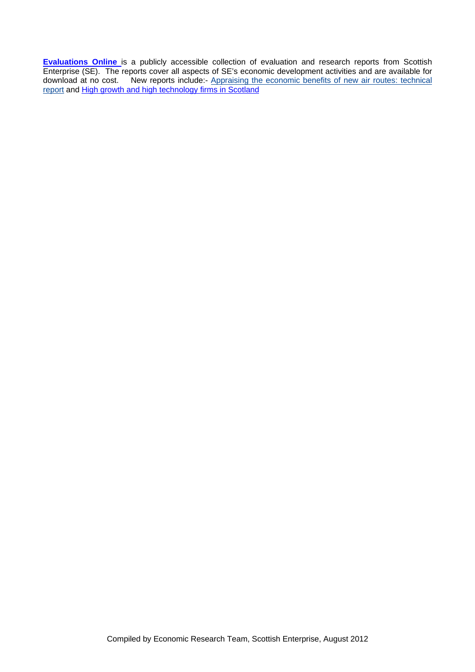**Evaluations Online** is a publicly accessible collection of evaluation and research reports from Scottish Enterprise (SE). The reports cover all aspects of SE's economic development activities and are available for download at no cost. New reports include:- Appraising the economic benefits of new air routes: technical report and High growth and high technology firms in Scotland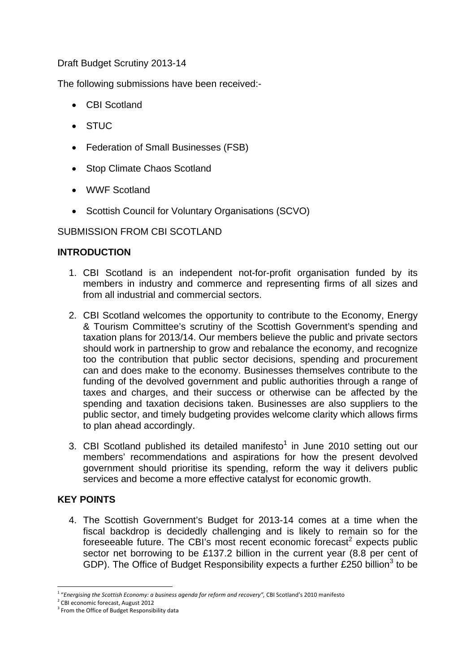Draft Budget Scrutiny 2013-14

The following submissions have been received:-

- CBI Scotland
- STUC
- Federation of Small Businesses (FSB)
- Stop Climate Chaos Scotland
- WWF Scotland
- Scottish Council for Voluntary Organisations (SCVO)

# SUBMISSION FROM CBI SCOTLAND

# **INTRODUCTION**

- 1. CBI Scotland is an independent not-for-profit organisation funded by its members in industry and commerce and representing firms of all sizes and from all industrial and commercial sectors.
- 2. CBI Scotland welcomes the opportunity to contribute to the Economy, Energy & Tourism Committee's scrutiny of the Scottish Government's spending and taxation plans for 2013/14. Our members believe the public and private sectors should work in partnership to grow and rebalance the economy, and recognize too the contribution that public sector decisions, spending and procurement can and does make to the economy. Businesses themselves contribute to the funding of the devolved government and public authorities through a range of taxes and charges, and their success or otherwise can be affected by the spending and taxation decisions taken. Businesses are also suppliers to the public sector, and timely budgeting provides welcome clarity which allows firms to plan ahead accordingly.
- 3. CBI Scotland published its detailed manifesto<sup>1</sup> in June 2010 setting out our members' recommendations and aspirations for how the present devolved government should prioritise its spending, reform the way it delivers public services and become a more effective catalyst for economic growth.

# **KEY POINTS**

4. The Scottish Government's Budget for 2013-14 comes at a time when the fiscal backdrop is decidedly challenging and is likely to remain so for the foreseeable future. The CBI's most recent economic forecast<sup>2</sup> expects public sector net borrowing to be £137.2 billion in the current year (8.8 per cent of GDP). The Office of Budget Responsibility expects a further £250 billion<sup>3</sup> to be

 $\overline{a}$ <sup>1</sup> "*Energising the Scottish Economy: a business agenda for reform and recovery",* CBI Scotland's 2010 manifesto

<sup>2</sup> CBI economic forecast, August 2012

<sup>&</sup>lt;sup>3</sup> From the Office of Budget Responsibility data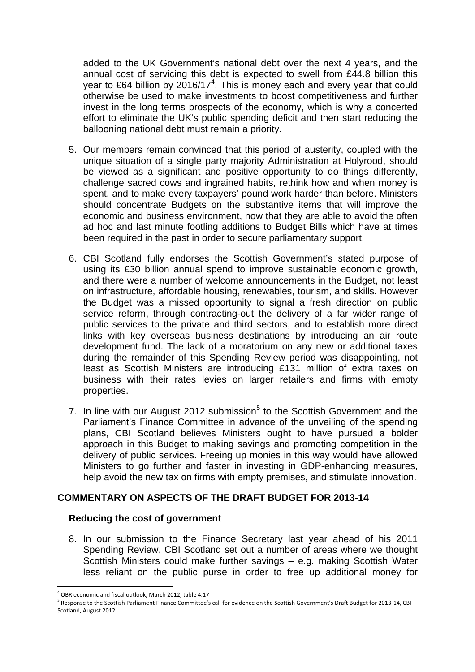added to the UK Government's national debt over the next 4 years, and the annual cost of servicing this debt is expected to swell from £44.8 billion this year to £64 billion by 2016/17<sup>4</sup>. This is money each and every year that could otherwise be used to make investments to boost competitiveness and further invest in the long terms prospects of the economy, which is why a concerted effort to eliminate the UK's public spending deficit and then start reducing the ballooning national debt must remain a priority.

- 5. Our members remain convinced that this period of austerity, coupled with the unique situation of a single party majority Administration at Holyrood, should be viewed as a significant and positive opportunity to do things differently, challenge sacred cows and ingrained habits, rethink how and when money is spent, and to make every taxpayers' pound work harder than before. Ministers should concentrate Budgets on the substantive items that will improve the economic and business environment, now that they are able to avoid the often ad hoc and last minute footling additions to Budget Bills which have at times been required in the past in order to secure parliamentary support.
- 6. CBI Scotland fully endorses the Scottish Government's stated purpose of using its £30 billion annual spend to improve sustainable economic growth, and there were a number of welcome announcements in the Budget, not least on infrastructure, affordable housing, renewables, tourism, and skills. However the Budget was a missed opportunity to signal a fresh direction on public service reform, through contracting-out the delivery of a far wider range of public services to the private and third sectors, and to establish more direct links with key overseas business destinations by introducing an air route development fund. The lack of a moratorium on any new or additional taxes during the remainder of this Spending Review period was disappointing, not least as Scottish Ministers are introducing £131 million of extra taxes on business with their rates levies on larger retailers and firms with empty properties.
- 7. In line with our August 2012 submission $5$  to the Scottish Government and the Parliament's Finance Committee in advance of the unveiling of the spending plans, CBI Scotland believes Ministers ought to have pursued a bolder approach in this Budget to making savings and promoting competition in the delivery of public services. Freeing up monies in this way would have allowed Ministers to go further and faster in investing in GDP-enhancing measures, help avoid the new tax on firms with empty premises, and stimulate innovation.

#### **COMMENTARY ON ASPECTS OF THE DRAFT BUDGET FOR 2013-14**

#### **Reducing the cost of government**

8. In our submission to the Finance Secretary last year ahead of his 2011 Spending Review, CBI Scotland set out a number of areas where we thought Scottish Ministers could make further savings – e.g. making Scottish Water less reliant on the public purse in order to free up additional money for

<sup>4</sup> OBR economic and fiscal outlook, March 2012, table 4.17

<sup>5</sup> Response to the Scottish Parliament Finance Committee's call for evidence on the Scottish Government's Draft Budget for 2013-14, CBI Scotland, August 2012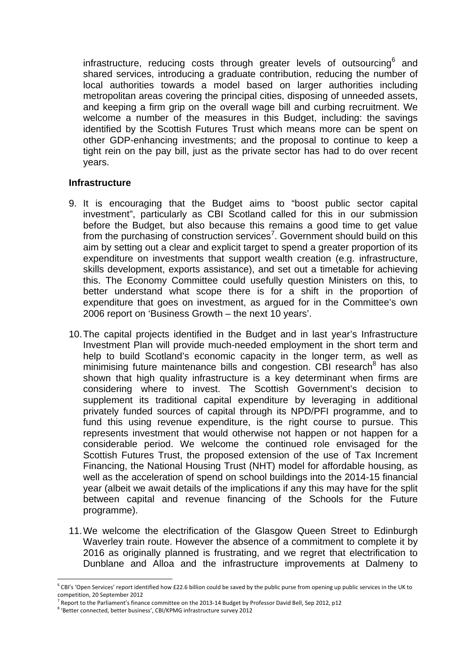infrastructure, reducing costs through greater levels of outsourcing $6$  and shared services, introducing a graduate contribution, reducing the number of local authorities towards a model based on larger authorities including metropolitan areas covering the principal cities, disposing of unneeded assets, and keeping a firm grip on the overall wage bill and curbing recruitment. We welcome a number of the measures in this Budget, including: the savings identified by the Scottish Futures Trust which means more can be spent on other GDP-enhancing investments; and the proposal to continue to keep a tight rein on the pay bill, just as the private sector has had to do over recent years.

#### **Infrastructure**

- 9. It is encouraging that the Budget aims to "boost public sector capital investment", particularly as CBI Scotland called for this in our submission before the Budget, but also because this remains a good time to get value from the purchasing of construction services<sup>7</sup>. Government should build on this aim by setting out a clear and explicit target to spend a greater proportion of its expenditure on investments that support wealth creation (e.g. infrastructure, skills development, exports assistance), and set out a timetable for achieving this. The Economy Committee could usefully question Ministers on this, to better understand what scope there is for a shift in the proportion of expenditure that goes on investment, as argued for in the Committee's own 2006 report on 'Business Growth – the next 10 years'.
- 10. The capital projects identified in the Budget and in last year's Infrastructure Investment Plan will provide much-needed employment in the short term and help to build Scotland's economic capacity in the longer term, as well as minimising future maintenance bills and congestion. CBI research $8$  has also shown that high quality infrastructure is a key determinant when firms are considering where to invest. The Scottish Government's decision to supplement its traditional capital expenditure by leveraging in additional privately funded sources of capital through its NPD/PFI programme, and to fund this using revenue expenditure, is the right course to pursue. This represents investment that would otherwise not happen or not happen for a considerable period. We welcome the continued role envisaged for the Scottish Futures Trust, the proposed extension of the use of Tax Increment Financing, the National Housing Trust (NHT) model for affordable housing, as well as the acceleration of spend on school buildings into the 2014-15 financial year (albeit we await details of the implications if any this may have for the split between capital and revenue financing of the Schools for the Future programme).
- 11. We welcome the electrification of the Glasgow Queen Street to Edinburgh Waverley train route. However the absence of a commitment to complete it by 2016 as originally planned is frustrating, and we regret that electrification to Dunblane and Alloa and the infrastructure improvements at Dalmeny to

 $6$  CBI's 'Open Services' report identified how £22.6 billion could be saved by the public purse from opening up public services in the UK to competition, 20 September 2012

<sup>7</sup> Report to the Parliament's finance committee on the 2013‐14 Budget by Professor David Bell, Sep 2012, p12

<sup>8</sup> 'Better connected, better business', CBI/KPMG infrastructure survey 2012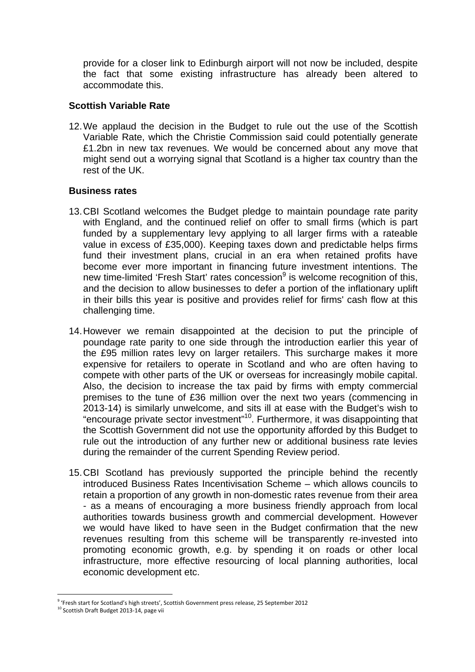provide for a closer link to Edinburgh airport will not now be included, despite the fact that some existing infrastructure has already been altered to accommodate this.

#### **Scottish Variable Rate**

12. We applaud the decision in the Budget to rule out the use of the Scottish Variable Rate, which the Christie Commission said could potentially generate £1.2bn in new tax revenues. We would be concerned about any move that might send out a worrying signal that Scotland is a higher tax country than the rest of the UK.

#### **Business rates**

- 13. CBI Scotland welcomes the Budget pledge to maintain poundage rate parity with England, and the continued relief on offer to small firms (which is part funded by a supplementary levy applying to all larger firms with a rateable value in excess of £35,000). Keeping taxes down and predictable helps firms fund their investment plans, crucial in an era when retained profits have become ever more important in financing future investment intentions. The new time-limited 'Fresh Start' rates concession<sup>9</sup> is welcome recognition of this, and the decision to allow businesses to defer a portion of the inflationary uplift in their bills this year is positive and provides relief for firms' cash flow at this challenging time.
- 14. However we remain disappointed at the decision to put the principle of poundage rate parity to one side through the introduction earlier this year of the £95 million rates levy on larger retailers. This surcharge makes it more expensive for retailers to operate in Scotland and who are often having to compete with other parts of the UK or overseas for increasingly mobile capital. Also, the decision to increase the tax paid by firms with empty commercial premises to the tune of £36 million over the next two years (commencing in 2013-14) is similarly unwelcome, and sits ill at ease with the Budget's wish to "encourage private sector investment"10. Furthermore, it was disappointing that the Scottish Government did not use the opportunity afforded by this Budget to rule out the introduction of any further new or additional business rate levies during the remainder of the current Spending Review period.
- 15. CBI Scotland has previously supported the principle behind the recently introduced Business Rates Incentivisation Scheme – which allows councils to retain a proportion of any growth in non-domestic rates revenue from their area - as a means of encouraging a more business friendly approach from local authorities towards business growth and commercial development. However we would have liked to have seen in the Budget confirmation that the new revenues resulting from this scheme will be transparently re-invested into promoting economic growth, e.g. by spending it on roads or other local infrastructure, more effective resourcing of local planning authorities, local economic development etc.

<sup>9</sup> 'Fresh start for Scotland's high streets', Scottish Government press release, 25 September 2012

<sup>&</sup>lt;sup>10</sup> Scottish Draft Budget 2013-14, page vii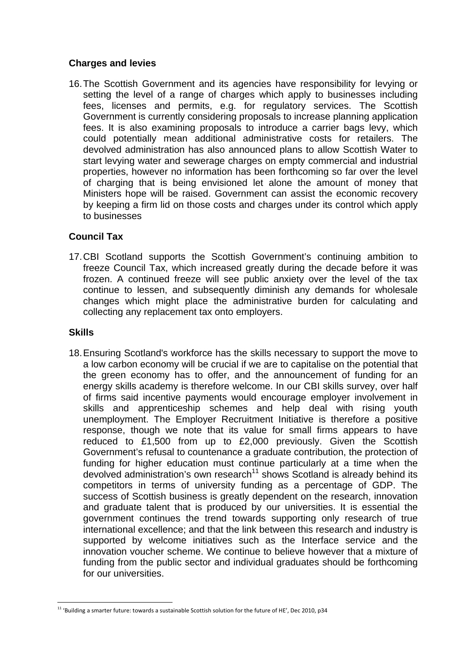#### **Charges and levies**

16. The Scottish Government and its agencies have responsibility for levying or setting the level of a range of charges which apply to businesses including fees, licenses and permits, e.g. for regulatory services. The Scottish Government is currently considering proposals to increase planning application fees. It is also examining proposals to introduce a carrier bags levy, which could potentially mean additional administrative costs for retailers. The devolved administration has also announced plans to allow Scottish Water to start levying water and sewerage charges on empty commercial and industrial properties, however no information has been forthcoming so far over the level of charging that is being envisioned let alone the amount of money that Ministers hope will be raised. Government can assist the economic recovery by keeping a firm lid on those costs and charges under its control which apply to businesses

# **Council Tax**

17. CBI Scotland supports the Scottish Government's continuing ambition to freeze Council Tax, which increased greatly during the decade before it was frozen. A continued freeze will see public anxiety over the level of the tax continue to lessen, and subsequently diminish any demands for wholesale changes which might place the administrative burden for calculating and collecting any replacement tax onto employers.

# **Skills**

 $\overline{a}$ 

18. Ensuring Scotland's workforce has the skills necessary to support the move to a low carbon economy will be crucial if we are to capitalise on the potential that the green economy has to offer, and the announcement of funding for an energy skills academy is therefore welcome. In our CBI skills survey, over half of firms said incentive payments would encourage employer involvement in skills and apprenticeship schemes and help deal with rising youth unemployment. The Employer Recruitment Initiative is therefore a positive response, though we note that its value for small firms appears to have reduced to £1,500 from up to £2,000 previously. Given the Scottish Government's refusal to countenance a graduate contribution, the protection of funding for higher education must continue particularly at a time when the devolved administration's own research<sup>11</sup> shows Scotland is already behind its competitors in terms of university funding as a percentage of GDP. The success of Scottish business is greatly dependent on the research, innovation and graduate talent that is produced by our universities. It is essential the government continues the trend towards supporting only research of true international excellence; and that the link between this research and industry is supported by welcome initiatives such as the Interface service and the innovation voucher scheme. We continue to believe however that a mixture of funding from the public sector and individual graduates should be forthcoming for our universities.

<sup>&</sup>lt;sup>11</sup> 'Building a smarter future: towards a sustainable Scottish solution for the future of HE', Dec 2010, p34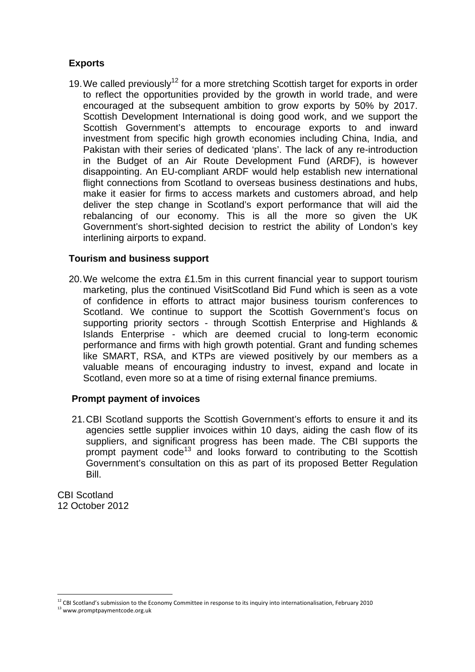# **Exports**

19. We called previously<sup>12</sup> for a more stretching Scottish target for exports in order to reflect the opportunities provided by the growth in world trade, and were encouraged at the subsequent ambition to grow exports by 50% by 2017. Scottish Development International is doing good work, and we support the Scottish Government's attempts to encourage exports to and inward investment from specific high growth economies including China, India, and Pakistan with their series of dedicated 'plans'. The lack of any re-introduction in the Budget of an Air Route Development Fund (ARDF), is however disappointing. An EU-compliant ARDF would help establish new international flight connections from Scotland to overseas business destinations and hubs, make it easier for firms to access markets and customers abroad, and help deliver the step change in Scotland's export performance that will aid the rebalancing of our economy. This is all the more so given the UK Government's short-sighted decision to restrict the ability of London's key interlining airports to expand.

## **Tourism and business support**

20. We welcome the extra £1.5m in this current financial year to support tourism marketing, plus the continued VisitScotland Bid Fund which is seen as a vote of confidence in efforts to attract major business tourism conferences to Scotland. We continue to support the Scottish Government's focus on supporting priority sectors - through Scottish Enterprise and Highlands & Islands Enterprise - which are deemed crucial to long-term economic performance and firms with high growth potential. Grant and funding schemes like SMART, RSA, and KTPs are viewed positively by our members as a valuable means of encouraging industry to invest, expand and locate in Scotland, even more so at a time of rising external finance premiums.

# **Prompt payment of invoices**

21. CBI Scotland supports the Scottish Government's efforts to ensure it and its agencies settle supplier invoices within 10 days, aiding the cash flow of its suppliers, and significant progress has been made. The CBI supports the prompt payment code<sup>13</sup> and looks forward to contributing to the Scottish Government's consultation on this as part of its proposed Better Regulation Bill.

CBI Scotland 12 October 2012

 $\overline{a}$  $^{12}$  CBI Scotland's submission to the Economy Committee in response to its inquiry into internationalisation, February 2010

<sup>13</sup> www.promptpaymentcode.org.uk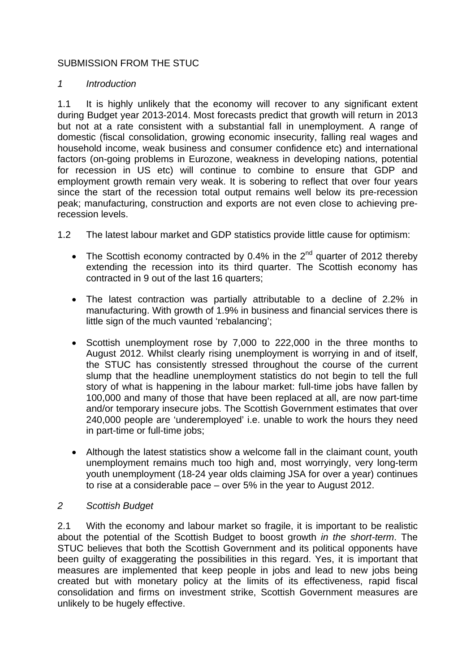# SUBMISSION FROM THE STUC

#### *1 Introduction*

1.1 It is highly unlikely that the economy will recover to any significant extent during Budget year 2013-2014. Most forecasts predict that growth will return in 2013 but not at a rate consistent with a substantial fall in unemployment. A range of domestic (fiscal consolidation, growing economic insecurity, falling real wages and household income, weak business and consumer confidence etc) and international factors (on-going problems in Eurozone, weakness in developing nations, potential for recession in US etc) will continue to combine to ensure that GDP and employment growth remain very weak. It is sobering to reflect that over four years since the start of the recession total output remains well below its pre-recession peak; manufacturing, construction and exports are not even close to achieving prerecession levels.

1.2 The latest labour market and GDP statistics provide little cause for optimism:

- The Scottish economy contracted by 0.4% in the  $2^{nd}$  quarter of 2012 thereby extending the recession into its third quarter. The Scottish economy has contracted in 9 out of the last 16 quarters;
- The latest contraction was partially attributable to a decline of 2.2% in manufacturing. With growth of 1.9% in business and financial services there is little sign of the much vaunted 'rebalancing';
- Scottish unemployment rose by 7,000 to 222,000 in the three months to August 2012. Whilst clearly rising unemployment is worrying in and of itself, the STUC has consistently stressed throughout the course of the current slump that the headline unemployment statistics do not begin to tell the full story of what is happening in the labour market: full-time jobs have fallen by 100,000 and many of those that have been replaced at all, are now part-time and/or temporary insecure jobs. The Scottish Government estimates that over 240,000 people are 'underemployed' i.e. unable to work the hours they need in part-time or full-time jobs;
- Although the latest statistics show a welcome fall in the claimant count, youth unemployment remains much too high and, most worryingly, very long-term youth unemployment (18-24 year olds claiming JSA for over a year) continues to rise at a considerable pace – over 5% in the year to August 2012.

#### *2 Scottish Budget*

2.1 With the economy and labour market so fragile, it is important to be realistic about the potential of the Scottish Budget to boost growth *in the short-term*. The STUC believes that both the Scottish Government and its political opponents have been guilty of exaggerating the possibilities in this regard. Yes, it is important that measures are implemented that keep people in jobs and lead to new jobs being created but with monetary policy at the limits of its effectiveness, rapid fiscal consolidation and firms on investment strike, Scottish Government measures are unlikely to be hugely effective.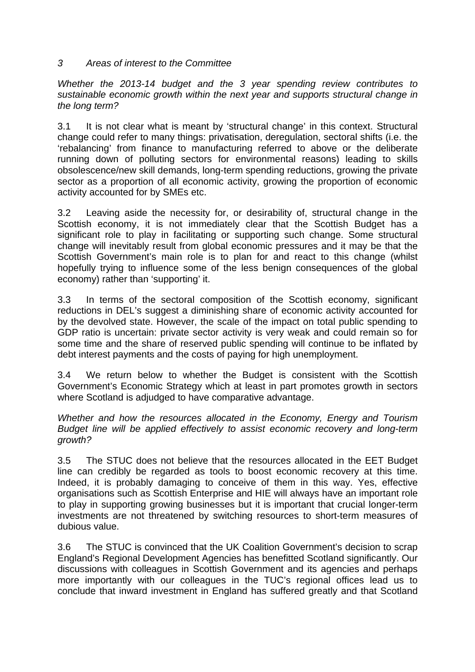## *3 Areas of interest to the Committee*

*Whether the 2013-14 budget and the 3 year spending review contributes to sustainable economic growth within the next year and supports structural change in the long term?* 

3.1 It is not clear what is meant by 'structural change' in this context. Structural change could refer to many things: privatisation, deregulation, sectoral shifts (i.e. the 'rebalancing' from finance to manufacturing referred to above or the deliberate running down of polluting sectors for environmental reasons) leading to skills obsolescence/new skill demands, long-term spending reductions, growing the private sector as a proportion of all economic activity, growing the proportion of economic activity accounted for by SMEs etc.

3.2 Leaving aside the necessity for, or desirability of, structural change in the Scottish economy, it is not immediately clear that the Scottish Budget has a significant role to play in facilitating or supporting such change. Some structural change will inevitably result from global economic pressures and it may be that the Scottish Government's main role is to plan for and react to this change (whilst hopefully trying to influence some of the less benign consequences of the global economy) rather than 'supporting' it.

3.3 In terms of the sectoral composition of the Scottish economy, significant reductions in DEL's suggest a diminishing share of economic activity accounted for by the devolved state. However, the scale of the impact on total public spending to GDP ratio is uncertain: private sector activity is very weak and could remain so for some time and the share of reserved public spending will continue to be inflated by debt interest payments and the costs of paying for high unemployment.

3.4 We return below to whether the Budget is consistent with the Scottish Government's Economic Strategy which at least in part promotes growth in sectors where Scotland is adjudged to have comparative advantage.

*Whether and how the resources allocated in the Economy, Energy and Tourism Budget line will be applied effectively to assist economic recovery and long-term growth?* 

3.5 The STUC does not believe that the resources allocated in the EET Budget line can credibly be regarded as tools to boost economic recovery at this time. Indeed, it is probably damaging to conceive of them in this way. Yes, effective organisations such as Scottish Enterprise and HIE will always have an important role to play in supporting growing businesses but it is important that crucial longer-term investments are not threatened by switching resources to short-term measures of dubious value.

3.6 The STUC is convinced that the UK Coalition Government's decision to scrap England's Regional Development Agencies has benefitted Scotland significantly. Our discussions with colleagues in Scottish Government and its agencies and perhaps more importantly with our colleagues in the TUC's regional offices lead us to conclude that inward investment in England has suffered greatly and that Scotland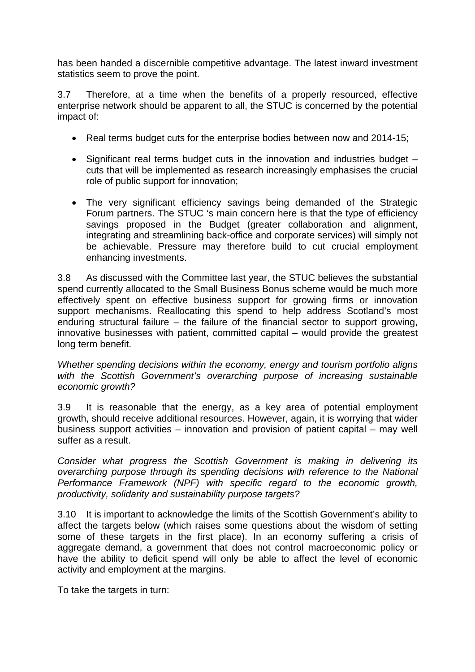has been handed a discernible competitive advantage. The latest inward investment statistics seem to prove the point.

3.7 Therefore, at a time when the benefits of a properly resourced, effective enterprise network should be apparent to all, the STUC is concerned by the potential impact of:

- Real terms budget cuts for the enterprise bodies between now and 2014-15;
- Significant real terms budget cuts in the innovation and industries budget cuts that will be implemented as research increasingly emphasises the crucial role of public support for innovation;
- The very significant efficiency savings being demanded of the Strategic Forum partners. The STUC 's main concern here is that the type of efficiency savings proposed in the Budget (greater collaboration and alignment, integrating and streamlining back-office and corporate services) will simply not be achievable. Pressure may therefore build to cut crucial employment enhancing investments.

3.8 As discussed with the Committee last year, the STUC believes the substantial spend currently allocated to the Small Business Bonus scheme would be much more effectively spent on effective business support for growing firms or innovation support mechanisms. Reallocating this spend to help address Scotland's most enduring structural failure – the failure of the financial sector to support growing, innovative businesses with patient, committed capital – would provide the greatest long term benefit.

*Whether spending decisions within the economy, energy and tourism portfolio aligns with the Scottish Government's overarching purpose of increasing sustainable economic growth?* 

3.9 It is reasonable that the energy, as a key area of potential employment growth, should receive additional resources. However, again, it is worrying that wider business support activities – innovation and provision of patient capital – may well suffer as a result.

*Consider what progress the Scottish Government is making in delivering its overarching purpose through its spending decisions with reference to the National Performance Framework (NPF) with specific regard to the economic growth, productivity, solidarity and sustainability purpose targets?* 

3.10 It is important to acknowledge the limits of the Scottish Government's ability to affect the targets below (which raises some questions about the wisdom of setting some of these targets in the first place). In an economy suffering a crisis of aggregate demand, a government that does not control macroeconomic policy or have the ability to deficit spend will only be able to affect the level of economic activity and employment at the margins.

To take the targets in turn: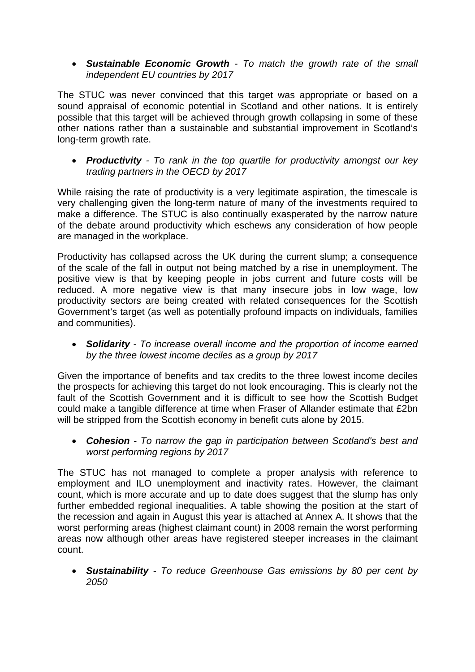*Sustainable Economic Growth - To match the growth rate of the small independent EU countries by 2017* 

The STUC was never convinced that this target was appropriate or based on a sound appraisal of economic potential in Scotland and other nations. It is entirely possible that this target will be achieved through growth collapsing in some of these other nations rather than a sustainable and substantial improvement in Scotland's long-term growth rate.

 *Productivity - To rank in the top quartile for productivity amongst our key trading partners in the OECD by 2017* 

While raising the rate of productivity is a very legitimate aspiration, the timescale is very challenging given the long-term nature of many of the investments required to make a difference. The STUC is also continually exasperated by the narrow nature of the debate around productivity which eschews any consideration of how people are managed in the workplace.

Productivity has collapsed across the UK during the current slump; a consequence of the scale of the fall in output not being matched by a rise in unemployment. The positive view is that by keeping people in jobs current and future costs will be reduced. A more negative view is that many insecure jobs in low wage, low productivity sectors are being created with related consequences for the Scottish Government's target (as well as potentially profound impacts on individuals, families and communities).

 *Solidarity - To increase overall income and the proportion of income earned by the three lowest income deciles as a group by 2017* 

Given the importance of benefits and tax credits to the three lowest income deciles the prospects for achieving this target do not look encouraging. This is clearly not the fault of the Scottish Government and it is difficult to see how the Scottish Budget could make a tangible difference at time when Fraser of Allander estimate that £2bn will be stripped from the Scottish economy in benefit cuts alone by 2015.

 *Cohesion - To narrow the gap in participation between Scotland's best and worst performing regions by 2017*

The STUC has not managed to complete a proper analysis with reference to employment and ILO unemployment and inactivity rates. However, the claimant count, which is more accurate and up to date does suggest that the slump has only further embedded regional inequalities. A table showing the position at the start of the recession and again in August this year is attached at Annex A. It shows that the worst performing areas (highest claimant count) in 2008 remain the worst performing areas now although other areas have registered steeper increases in the claimant count.

 *Sustainability - To reduce Greenhouse Gas emissions by 80 per cent by 2050*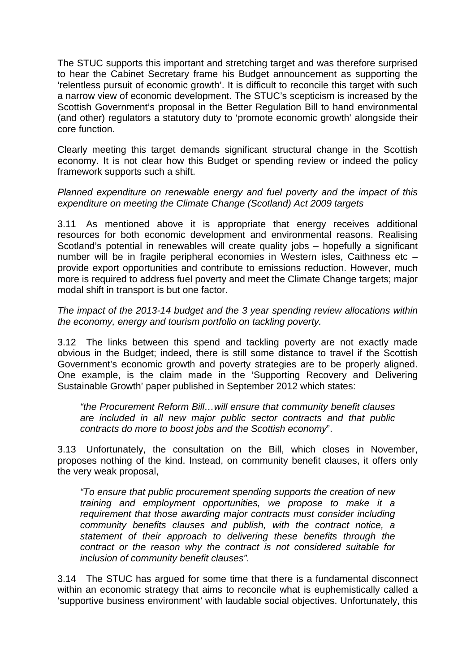The STUC supports this important and stretching target and was therefore surprised to hear the Cabinet Secretary frame his Budget announcement as supporting the 'relentless pursuit of economic growth'. It is difficult to reconcile this target with such a narrow view of economic development. The STUC's scepticism is increased by the Scottish Government's proposal in the Better Regulation Bill to hand environmental (and other) regulators a statutory duty to 'promote economic growth' alongside their core function.

Clearly meeting this target demands significant structural change in the Scottish economy. It is not clear how this Budget or spending review or indeed the policy framework supports such a shift.

*Planned expenditure on renewable energy and fuel poverty and the impact of this expenditure on meeting the Climate Change (Scotland) Act 2009 targets* 

3.11 As mentioned above it is appropriate that energy receives additional resources for both economic development and environmental reasons. Realising Scotland's potential in renewables will create quality jobs – hopefully a significant number will be in fragile peripheral economies in Western isles, Caithness etc – provide export opportunities and contribute to emissions reduction. However, much more is required to address fuel poverty and meet the Climate Change targets; major modal shift in transport is but one factor.

*The impact of the 2013-14 budget and the 3 year spending review allocations within the economy, energy and tourism portfolio on tackling poverty.* 

3.12 The links between this spend and tackling poverty are not exactly made obvious in the Budget; indeed, there is still some distance to travel if the Scottish Government's economic growth and poverty strategies are to be properly aligned. One example, is the claim made in the 'Supporting Recovery and Delivering Sustainable Growth' paper published in September 2012 which states:

*"the Procurement Reform Bill…will ensure that community benefit clauses are included in all new major public sector contracts and that public contracts do more to boost jobs and the Scottish economy*".

3.13 Unfortunately, the consultation on the Bill, which closes in November, proposes nothing of the kind. Instead, on community benefit clauses, it offers only the very weak proposal,

*"To ensure that public procurement spending supports the creation of new training and employment opportunities, we propose to make it a requirement that those awarding major contracts must consider including community benefits clauses and publish, with the contract notice, a statement of their approach to delivering these benefits through the contract or the reason why the contract is not considered suitable for inclusion of community benefit clauses".* 

3.14 The STUC has argued for some time that there is a fundamental disconnect within an economic strategy that aims to reconcile what is euphemistically called a 'supportive business environment' with laudable social objectives. Unfortunately, this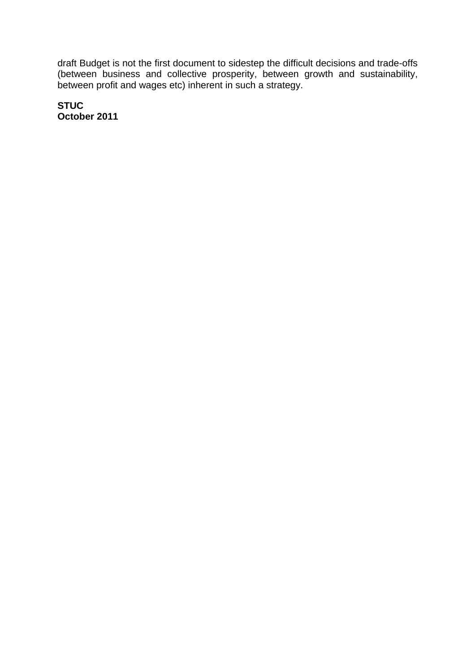draft Budget is not the first document to sidestep the difficult decisions and trade-offs (between business and collective prosperity, between growth and sustainability, between profit and wages etc) inherent in such a strategy.

**STUC October 2011**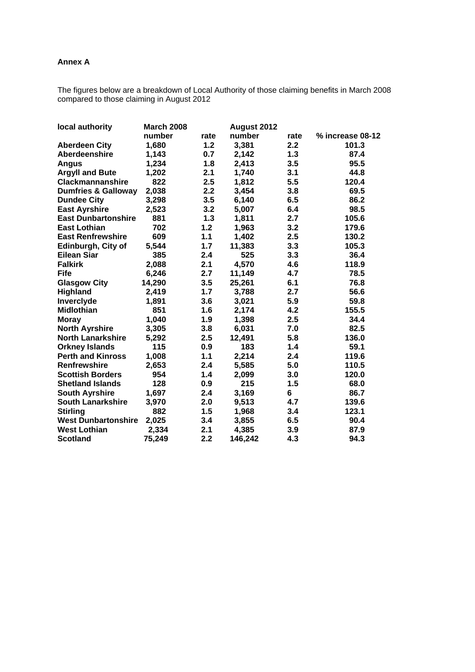#### **Annex A**

The figures below are a breakdown of Local Authority of those claiming benefits in March 2008 compared to those claiming in August 2012

| local authority                | <b>March 2008</b><br>August 2012 |       |         |      |                  |
|--------------------------------|----------------------------------|-------|---------|------|------------------|
|                                | number                           | rate  | number  | rate | % increase 08-12 |
| <b>Aberdeen City</b>           | 1,680                            | $1.2$ | 3,381   | 2.2  | 101.3            |
| Aberdeenshire                  | 1,143                            | 0.7   | 2,142   | 1.3  | 87.4             |
| <b>Angus</b>                   | 1,234                            | 1.8   | 2,413   | 3.5  | 95.5             |
| <b>Argyll and Bute</b>         | 1,202                            | 2.1   | 1,740   | 3.1  | 44.8             |
| <b>Clackmannanshire</b>        | 822                              | 2.5   | 1,812   | 5.5  | 120.4            |
| <b>Dumfries &amp; Galloway</b> | 2,038                            | 2.2   | 3,454   | 3.8  | 69.5             |
| <b>Dundee City</b>             | 3,298                            | 3.5   | 6,140   | 6.5  | 86.2             |
| <b>East Ayrshire</b>           | 2,523                            | 3.2   | 5,007   | 6.4  | 98.5             |
| <b>East Dunbartonshire</b>     | 881                              | 1.3   | 1,811   | 2.7  | 105.6            |
| <b>East Lothian</b>            | 702                              | 1.2   | 1,963   | 3.2  | 179.6            |
| <b>East Renfrewshire</b>       | 609                              | 1.1   | 1,402   | 2.5  | 130.2            |
| Edinburgh, City of             | 5,544                            | 1.7   | 11,383  | 3.3  | 105.3            |
| <b>Eilean Siar</b>             | 385                              | 2.4   | 525     | 3.3  | 36.4             |
| <b>Falkirk</b>                 | 2,088                            | 2.1   | 4,570   | 4.6  | 118.9            |
| <b>Fife</b>                    | 6,246                            | 2.7   | 11,149  | 4.7  | 78.5             |
| <b>Glasgow City</b>            | 14,290                           | 3.5   | 25,261  | 6.1  | 76.8             |
| Highland                       | 2,419                            | 1.7   | 3,788   | 2.7  | 56.6             |
| Inverclyde                     | 1,891                            | 3.6   | 3,021   | 5.9  | 59.8             |
| <b>Midlothian</b>              | 851                              | 1.6   | 2,174   | 4.2  | 155.5            |
| <b>Moray</b>                   | 1,040                            | 1.9   | 1,398   | 2.5  | 34.4             |
| <b>North Ayrshire</b>          | 3,305                            | 3.8   | 6,031   | 7.0  | 82.5             |
| <b>North Lanarkshire</b>       | 5,292                            | 2.5   | 12,491  | 5.8  | 136.0            |
| <b>Orkney Islands</b>          | 115                              | 0.9   | 183     | 1.4  | 59.1             |
| <b>Perth and Kinross</b>       | 1,008                            | 1.1   | 2,214   | 2.4  | 119.6            |
| <b>Renfrewshire</b>            | 2,653                            | 2.4   | 5,585   | 5.0  | 110.5            |
| <b>Scottish Borders</b>        | 954                              | 1.4   | 2,099   | 3.0  | 120.0            |
| <b>Shetland Islands</b>        | 128                              | 0.9   | 215     | 1.5  | 68.0             |
| <b>South Ayrshire</b>          | 1,697                            | 2.4   | 3,169   | 6    | 86.7             |
| <b>South Lanarkshire</b>       | 3,970                            | 2.0   | 9,513   | 4.7  | 139.6            |
| <b>Stirling</b>                | 882                              | 1.5   | 1,968   | 3.4  | 123.1            |
| <b>West Dunbartonshire</b>     | 2,025                            | 3.4   | 3,855   | 6.5  | 90.4             |
| <b>West Lothian</b>            | 2,334                            | 2.1   | 4,385   | 3.9  | 87.9             |
| <b>Scotland</b>                | 75,249                           | 2.2   | 146,242 | 4.3  | 94.3             |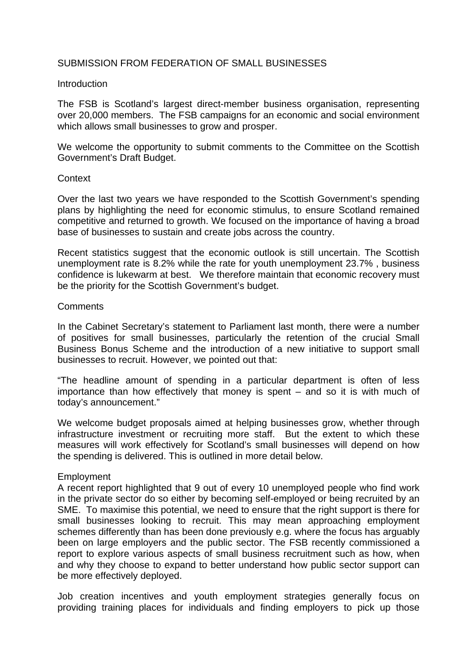#### SUBMISSION FROM FEDERATION OF SMALL BUSINESSES

#### **Introduction**

The FSB is Scotland's largest direct-member business organisation, representing over 20,000 members. The FSB campaigns for an economic and social environment which allows small businesses to grow and prosper.

We welcome the opportunity to submit comments to the Committee on the Scottish Government's Draft Budget.

#### **Context**

Over the last two years we have responded to the Scottish Government's spending plans by highlighting the need for economic stimulus, to ensure Scotland remained competitive and returned to growth. We focused on the importance of having a broad base of businesses to sustain and create jobs across the country.

Recent statistics suggest that the economic outlook is still uncertain. The Scottish unemployment rate is 8.2% while the rate for youth unemployment 23.7% , business confidence is lukewarm at best. We therefore maintain that economic recovery must be the priority for the Scottish Government's budget.

#### **Comments**

In the Cabinet Secretary's statement to Parliament last month, there were a number of positives for small businesses, particularly the retention of the crucial Small Business Bonus Scheme and the introduction of a new initiative to support small businesses to recruit. However, we pointed out that:

"The headline amount of spending in a particular department is often of less importance than how effectively that money is spent – and so it is with much of today's announcement."

We welcome budget proposals aimed at helping businesses grow, whether through infrastructure investment or recruiting more staff. But the extent to which these measures will work effectively for Scotland's small businesses will depend on how the spending is delivered. This is outlined in more detail below.

#### Employment

A recent report highlighted that 9 out of every 10 unemployed people who find work in the private sector do so either by becoming self-employed or being recruited by an SME. To maximise this potential, we need to ensure that the right support is there for small businesses looking to recruit. This may mean approaching employment schemes differently than has been done previously e.g. where the focus has arguably been on large employers and the public sector. The FSB recently commissioned a report to explore various aspects of small business recruitment such as how, when and why they choose to expand to better understand how public sector support can be more effectively deployed.

Job creation incentives and youth employment strategies generally focus on providing training places for individuals and finding employers to pick up those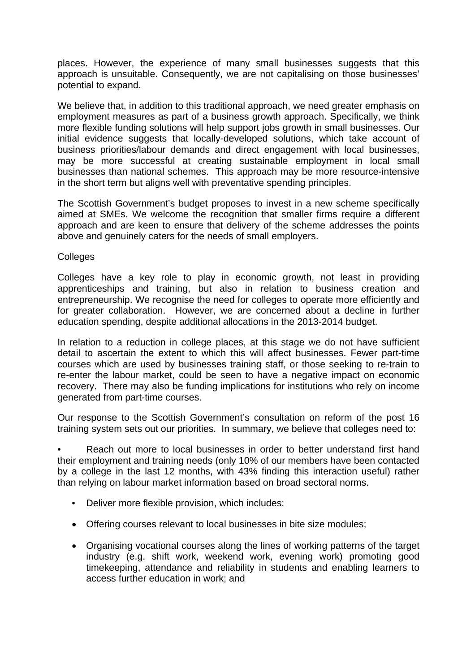places. However, the experience of many small businesses suggests that this approach is unsuitable. Consequently, we are not capitalising on those businesses' potential to expand.

We believe that, in addition to this traditional approach, we need greater emphasis on employment measures as part of a business growth approach. Specifically, we think more flexible funding solutions will help support jobs growth in small businesses. Our initial evidence suggests that locally-developed solutions, which take account of business priorities/labour demands and direct engagement with local businesses, may be more successful at creating sustainable employment in local small businesses than national schemes. This approach may be more resource-intensive in the short term but aligns well with preventative spending principles.

The Scottish Government's budget proposes to invest in a new scheme specifically aimed at SMEs. We welcome the recognition that smaller firms require a different approach and are keen to ensure that delivery of the scheme addresses the points above and genuinely caters for the needs of small employers.

**Colleges** 

Colleges have a key role to play in economic growth, not least in providing apprenticeships and training, but also in relation to business creation and entrepreneurship. We recognise the need for colleges to operate more efficiently and for greater collaboration. However, we are concerned about a decline in further education spending, despite additional allocations in the 2013-2014 budget.

In relation to a reduction in college places, at this stage we do not have sufficient detail to ascertain the extent to which this will affect businesses. Fewer part-time courses which are used by businesses training staff, or those seeking to re-train to re-enter the labour market, could be seen to have a negative impact on economic recovery. There may also be funding implications for institutions who rely on income generated from part-time courses.

Our response to the Scottish Government's consultation on reform of the post 16 training system sets out our priorities. In summary, we believe that colleges need to:

Reach out more to local businesses in order to better understand first hand their employment and training needs (only 10% of our members have been contacted by a college in the last 12 months, with 43% finding this interaction useful) rather than relying on labour market information based on broad sectoral norms.

- Deliver more flexible provision, which includes:
- Offering courses relevant to local businesses in bite size modules;
- Organising vocational courses along the lines of working patterns of the target industry (e.g. shift work, weekend work, evening work) promoting good timekeeping, attendance and reliability in students and enabling learners to access further education in work; and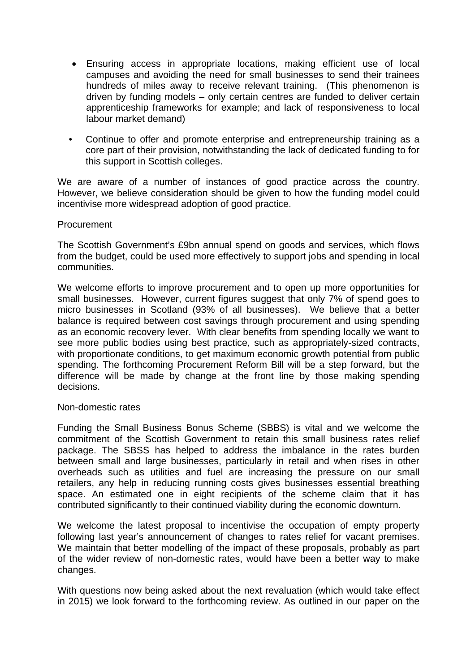- Ensuring access in appropriate locations, making efficient use of local campuses and avoiding the need for small businesses to send their trainees hundreds of miles away to receive relevant training. (This phenomenon is driven by funding models – only certain centres are funded to deliver certain apprenticeship frameworks for example; and lack of responsiveness to local labour market demand)
- Continue to offer and promote enterprise and entrepreneurship training as a core part of their provision, notwithstanding the lack of dedicated funding to for this support in Scottish colleges.

We are aware of a number of instances of good practice across the country. However, we believe consideration should be given to how the funding model could incentivise more widespread adoption of good practice.

#### **Procurement**

The Scottish Government's £9bn annual spend on goods and services, which flows from the budget, could be used more effectively to support jobs and spending in local communities.

We welcome efforts to improve procurement and to open up more opportunities for small businesses. However, current figures suggest that only 7% of spend goes to micro businesses in Scotland (93% of all businesses). We believe that a better balance is required between cost savings through procurement and using spending as an economic recovery lever. With clear benefits from spending locally we want to see more public bodies using best practice, such as appropriately-sized contracts, with proportionate conditions, to get maximum economic growth potential from public spending. The forthcoming Procurement Reform Bill will be a step forward, but the difference will be made by change at the front line by those making spending decisions.

#### Non-domestic rates

Funding the Small Business Bonus Scheme (SBBS) is vital and we welcome the commitment of the Scottish Government to retain this small business rates relief package. The SBSS has helped to address the imbalance in the rates burden between small and large businesses, particularly in retail and when rises in other overheads such as utilities and fuel are increasing the pressure on our small retailers, any help in reducing running costs gives businesses essential breathing space. An estimated one in eight recipients of the scheme claim that it has contributed significantly to their continued viability during the economic downturn.

We welcome the latest proposal to incentivise the occupation of empty property following last year's announcement of changes to rates relief for vacant premises. We maintain that better modelling of the impact of these proposals, probably as part of the wider review of non-domestic rates, would have been a better way to make changes.

With questions now being asked about the next revaluation (which would take effect in 2015) we look forward to the forthcoming review. As outlined in our paper on the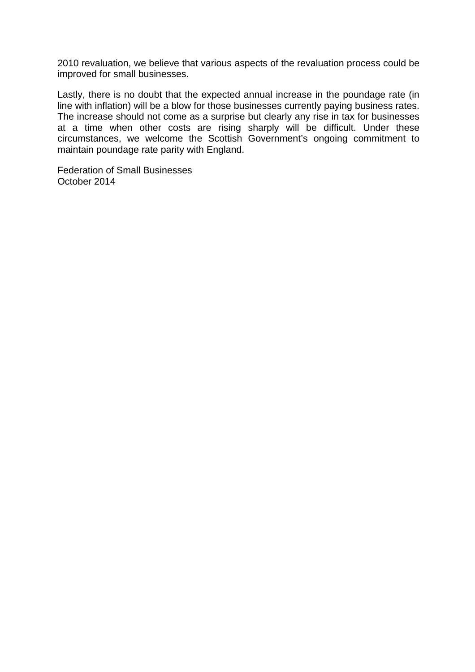2010 revaluation, we believe that various aspects of the revaluation process could be improved for small businesses.

Lastly, there is no doubt that the expected annual increase in the poundage rate (in line with inflation) will be a blow for those businesses currently paying business rates. The increase should not come as a surprise but clearly any rise in tax for businesses at a time when other costs are rising sharply will be difficult. Under these circumstances, we welcome the Scottish Government's ongoing commitment to maintain poundage rate parity with England.

Federation of Small Businesses October 2014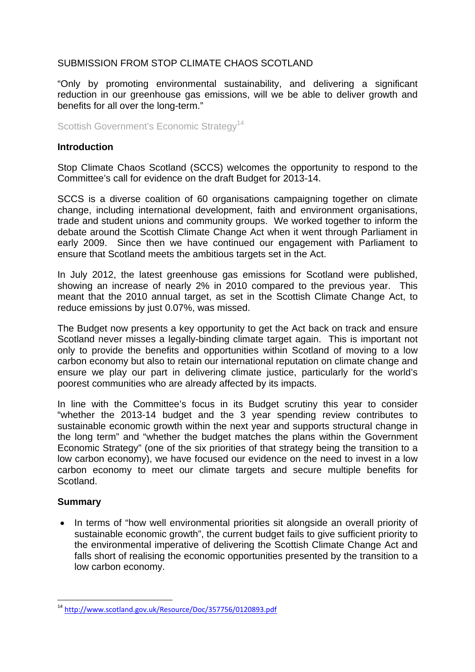# SUBMISSION FROM STOP CLIMATE CHAOS SCOTLAND

"Only by promoting environmental sustainability, and delivering a significant reduction in our greenhouse gas emissions, will we be able to deliver growth and benefits for all over the long-term."

Scottish Government's Economic Strategy<sup>14</sup>

#### **Introduction**

Stop Climate Chaos Scotland (SCCS) welcomes the opportunity to respond to the Committee's call for evidence on the draft Budget for 2013-14.

SCCS is a diverse coalition of 60 organisations campaigning together on climate change, including international development, faith and environment organisations, trade and student unions and community groups. We worked together to inform the debate around the Scottish Climate Change Act when it went through Parliament in early 2009. Since then we have continued our engagement with Parliament to ensure that Scotland meets the ambitious targets set in the Act.

In July 2012, the latest greenhouse gas emissions for Scotland were published, showing an increase of nearly 2% in 2010 compared to the previous year. This meant that the 2010 annual target, as set in the Scottish Climate Change Act, to reduce emissions by just 0.07%, was missed.

The Budget now presents a key opportunity to get the Act back on track and ensure Scotland never misses a legally-binding climate target again. This is important not only to provide the benefits and opportunities within Scotland of moving to a low carbon economy but also to retain our international reputation on climate change and ensure we play our part in delivering climate justice, particularly for the world's poorest communities who are already affected by its impacts.

In line with the Committee's focus in its Budget scrutiny this year to consider "whether the 2013-14 budget and the 3 year spending review contributes to sustainable economic growth within the next year and supports structural change in the long term" and "whether the budget matches the plans within the Government Economic Strategy" (one of the six priorities of that strategy being the transition to a low carbon economy), we have focused our evidence on the need to invest in a low carbon economy to meet our climate targets and secure multiple benefits for Scotland.

#### **Summary**

 $\overline{a}$ 

• In terms of "how well environmental priorities sit alongside an overall priority of sustainable economic growth", the current budget fails to give sufficient priority to the environmental imperative of delivering the Scottish Climate Change Act and falls short of realising the economic opportunities presented by the transition to a low carbon economy.

<sup>&</sup>lt;sup>14</sup> http://www.scotland.gov.uk/Resource/Doc/357756/0120893.pdf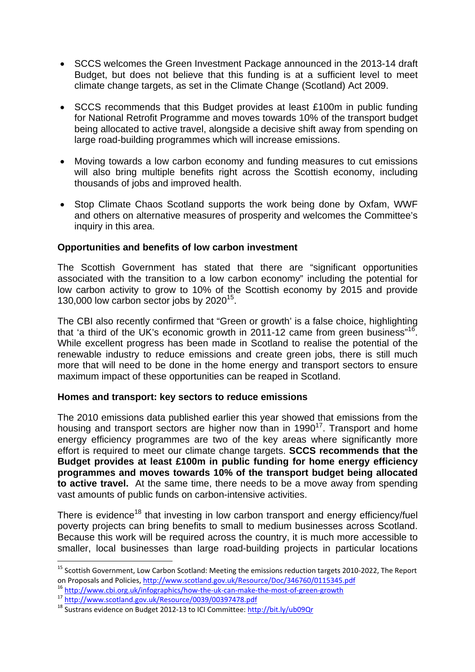- SCCS welcomes the Green Investment Package announced in the 2013-14 draft Budget, but does not believe that this funding is at a sufficient level to meet climate change targets, as set in the Climate Change (Scotland) Act 2009.
- SCCS recommends that this Budget provides at least £100m in public funding for National Retrofit Programme and moves towards 10% of the transport budget being allocated to active travel, alongside a decisive shift away from spending on large road-building programmes which will increase emissions.
- Moving towards a low carbon economy and funding measures to cut emissions will also bring multiple benefits right across the Scottish economy, including thousands of jobs and improved health.
- Stop Climate Chaos Scotland supports the work being done by Oxfam, WWF and others on alternative measures of prosperity and welcomes the Committee's inquiry in this area.

## **Opportunities and benefits of low carbon investment**

The Scottish Government has stated that there are "significant opportunities associated with the transition to a low carbon economy" including the potential for low carbon activity to grow to 10% of the Scottish economy by 2015 and provide 130,000 low carbon sector jobs by  $2020^{15}$ .

The CBI also recently confirmed that "Green or growth' is a false choice, highlighting that 'a third of the UK's economic growth in 2011-12 came from green business"<sup>16</sup>. While excellent progress has been made in Scotland to realise the potential of the renewable industry to reduce emissions and create green jobs, there is still much more that will need to be done in the home energy and transport sectors to ensure maximum impact of these opportunities can be reaped in Scotland.

#### **Homes and transport: key sectors to reduce emissions**

The 2010 emissions data published earlier this year showed that emissions from the housing and transport sectors are higher now than in  $1990^{17}$ . Transport and home energy efficiency programmes are two of the key areas where significantly more effort is required to meet our climate change targets. **SCCS recommends that the Budget provides at least £100m in public funding for home energy efficiency programmes and moves towards 10% of the transport budget being allocated to active travel.** At the same time, there needs to be a move away from spending vast amounts of public funds on carbon-intensive activities.

There is evidence<sup>18</sup> that investing in low carbon transport and energy efficiency/fuel poverty projects can bring benefits to small to medium businesses across Scotland. Because this work will be required across the country, it is much more accessible to smaller, local businesses than large road-building projects in particular locations

<sup>&</sup>lt;sup>15</sup> Scottish Government, Low Carbon Scotland: Meeting the emissions reduction targets 2010-2022, The Report on Proposals and Policies, http://www.scotland.gov.uk/Resource/Doc/346760/0115345.pdf<br>
<sup>16</sup> http://www.cbi.org.uk/infographics/how-the-uk-can-make-the-most-of-green-growth<br>
<sup>17</sup> http://www.scotland.gov.uk/Resource/0039/003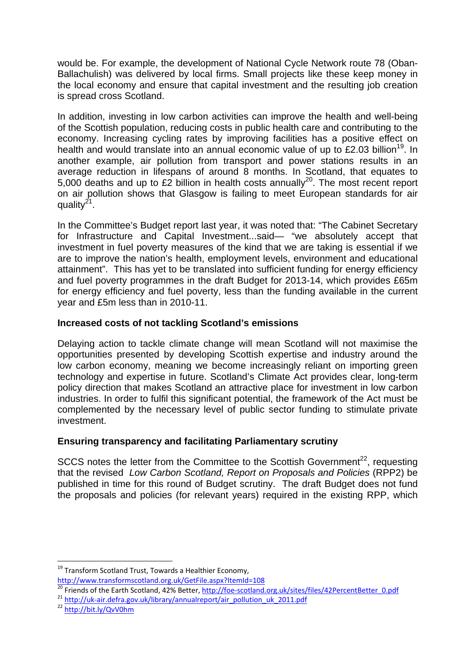would be. For example, the development of National Cycle Network route 78 (Oban-Ballachulish) was delivered by local firms. Small projects like these keep money in the local economy and ensure that capital investment and the resulting job creation is spread cross Scotland.

In addition, investing in low carbon activities can improve the health and well-being of the Scottish population, reducing costs in public health care and contributing to the economy. Increasing cycling rates by improving facilities has a positive effect on health and would translate into an annual economic value of up to £2.03 billion<sup>19</sup>. In another example, air pollution from transport and power stations results in an average reduction in lifespans of around 8 months. In Scotland, that equates to 5,000 deaths and up to £2 billion in health costs annually<sup>20</sup>. The most recent report on air pollution shows that Glasgow is failing to meet European standards for air quality $2^1$ .

In the Committee's Budget report last year, it was noted that: "The Cabinet Secretary for Infrastructure and Capital Investment...said— "we absolutely accept that investment in fuel poverty measures of the kind that we are taking is essential if we are to improve the nation's health, employment levels, environment and educational attainment". This has yet to be translated into sufficient funding for energy efficiency and fuel poverty programmes in the draft Budget for 2013-14, which provides £65m for energy efficiency and fuel poverty, less than the funding available in the current year and £5m less than in 2010-11.

# **Increased costs of not tackling Scotland's emissions**

Delaying action to tackle climate change will mean Scotland will not maximise the opportunities presented by developing Scottish expertise and industry around the low carbon economy, meaning we become increasingly reliant on importing green technology and expertise in future. Scotland's Climate Act provides clear, long-term policy direction that makes Scotland an attractive place for investment in low carbon industries. In order to fulfil this significant potential, the framework of the Act must be complemented by the necessary level of public sector funding to stimulate private investment.

# **Ensuring transparency and facilitating Parliamentary scrutiny**

SCCS notes the letter from the Committee to the Scottish Government<sup>22</sup>, requesting that the revised *Low Carbon Scotland, Report on Proposals and Policies* (RPP2) be published in time for this round of Budget scrutiny. The draft Budget does not fund the proposals and policies (for relevant years) required in the existing RPP, which

 $\overline{a}$ <sup>19</sup> Transform Scotland Trust, Towards a Healthier Economy,

http://www.transformscotland.org.uk/GetFile.aspx?ItemId=108<br>
<sup>20</sup> Friends of the Earth Scotland, 42% Better, <u>http://foe-scotland.org.uk/sites/files/42PercentBetter 0.pdf</u><br>
<sup>21</sup> http://uk-air.defra.gov.uk/library/annualrep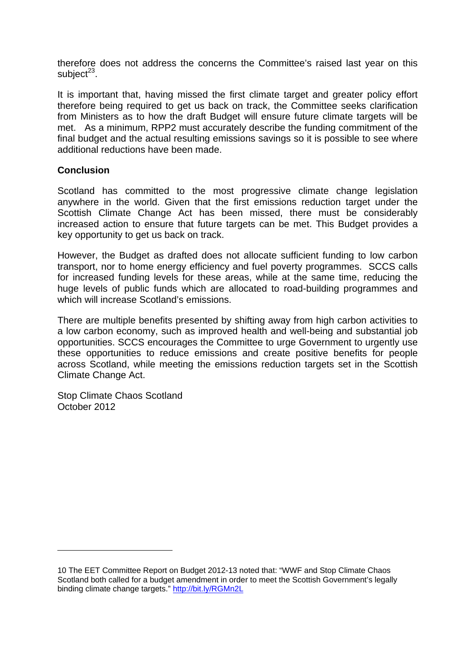therefore does not address the concerns the Committee's raised last year on this subject $23$ .

It is important that, having missed the first climate target and greater policy effort therefore being required to get us back on track, the Committee seeks clarification from Ministers as to how the draft Budget will ensure future climate targets will be met. As a minimum, RPP2 must accurately describe the funding commitment of the final budget and the actual resulting emissions savings so it is possible to see where additional reductions have been made.

#### **Conclusion**

Scotland has committed to the most progressive climate change legislation anywhere in the world. Given that the first emissions reduction target under the Scottish Climate Change Act has been missed, there must be considerably increased action to ensure that future targets can be met. This Budget provides a key opportunity to get us back on track.

However, the Budget as drafted does not allocate sufficient funding to low carbon transport, nor to home energy efficiency and fuel poverty programmes. SCCS calls for increased funding levels for these areas, while at the same time, reducing the huge levels of public funds which are allocated to road-building programmes and which will increase Scotland's emissions.

There are multiple benefits presented by shifting away from high carbon activities to a low carbon economy, such as improved health and well-being and substantial job opportunities. SCCS encourages the Committee to urge Government to urgently use these opportunities to reduce emissions and create positive benefits for people across Scotland, while meeting the emissions reduction targets set in the Scottish Climate Change Act.

Stop Climate Chaos Scotland October 2012

<sup>10</sup> The EET Committee Report on Budget 2012-13 noted that: "WWF and Stop Climate Chaos Scotland both called for a budget amendment in order to meet the Scottish Government's legally binding climate change targets." http://bit.ly/RGMn2L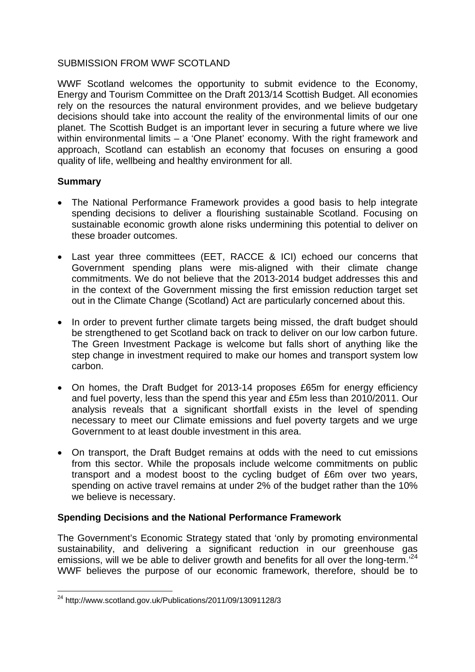## SUBMISSION FROM WWF SCOTLAND

WWF Scotland welcomes the opportunity to submit evidence to the Economy, Energy and Tourism Committee on the Draft 2013/14 Scottish Budget. All economies rely on the resources the natural environment provides, and we believe budgetary decisions should take into account the reality of the environmental limits of our one planet. The Scottish Budget is an important lever in securing a future where we live within environmental limits – a 'One Planet' economy. With the right framework and approach, Scotland can establish an economy that focuses on ensuring a good quality of life, wellbeing and healthy environment for all.

# **Summary**

- The National Performance Framework provides a good basis to help integrate spending decisions to deliver a flourishing sustainable Scotland. Focusing on sustainable economic growth alone risks undermining this potential to deliver on these broader outcomes.
- Last year three committees (EET, RACCE & ICI) echoed our concerns that Government spending plans were mis-aligned with their climate change commitments. We do not believe that the 2013-2014 budget addresses this and in the context of the Government missing the first emission reduction target set out in the Climate Change (Scotland) Act are particularly concerned about this.
- In order to prevent further climate targets being missed, the draft budget should be strengthened to get Scotland back on track to deliver on our low carbon future. The Green Investment Package is welcome but falls short of anything like the step change in investment required to make our homes and transport system low carbon.
- On homes, the Draft Budget for 2013-14 proposes £65m for energy efficiency and fuel poverty, less than the spend this year and £5m less than 2010/2011. Our analysis reveals that a significant shortfall exists in the level of spending necessary to meet our Climate emissions and fuel poverty targets and we urge Government to at least double investment in this area.
- On transport, the Draft Budget remains at odds with the need to cut emissions from this sector. While the proposals include welcome commitments on public transport and a modest boost to the cycling budget of £6m over two years, spending on active travel remains at under 2% of the budget rather than the 10% we believe is necessary.

# **Spending Decisions and the National Performance Framework**

The Government's Economic Strategy stated that 'only by promoting environmental sustainability, and delivering a significant reduction in our greenhouse gas emissions, will we be able to deliver growth and benefits for all over the long-term.<sup>24</sup> WWF believes the purpose of our economic framework, therefore, should be to

 $\overline{a}$  $^{24}$  http://www.scotland.gov.uk/Publications/2011/09/13091128/3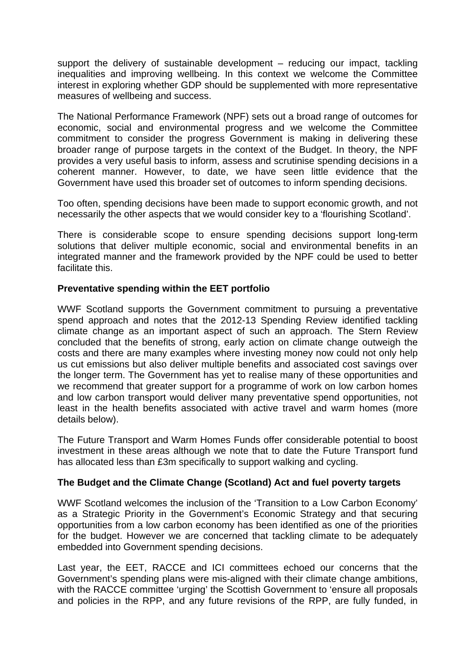support the delivery of sustainable development – reducing our impact, tackling inequalities and improving wellbeing. In this context we welcome the Committee interest in exploring whether GDP should be supplemented with more representative measures of wellbeing and success.

The National Performance Framework (NPF) sets out a broad range of outcomes for economic, social and environmental progress and we welcome the Committee commitment to consider the progress Government is making in delivering these broader range of purpose targets in the context of the Budget. In theory, the NPF provides a very useful basis to inform, assess and scrutinise spending decisions in a coherent manner. However, to date, we have seen little evidence that the Government have used this broader set of outcomes to inform spending decisions.

Too often, spending decisions have been made to support economic growth, and not necessarily the other aspects that we would consider key to a 'flourishing Scotland'.

There is considerable scope to ensure spending decisions support long-term solutions that deliver multiple economic, social and environmental benefits in an integrated manner and the framework provided by the NPF could be used to better facilitate this.

## **Preventative spending within the EET portfolio**

WWF Scotland supports the Government commitment to pursuing a preventative spend approach and notes that the 2012-13 Spending Review identified tackling climate change as an important aspect of such an approach. The Stern Review concluded that the benefits of strong, early action on climate change outweigh the costs and there are many examples where investing money now could not only help us cut emissions but also deliver multiple benefits and associated cost savings over the longer term. The Government has yet to realise many of these opportunities and we recommend that greater support for a programme of work on low carbon homes and low carbon transport would deliver many preventative spend opportunities, not least in the health benefits associated with active travel and warm homes (more details below).

The Future Transport and Warm Homes Funds offer considerable potential to boost investment in these areas although we note that to date the Future Transport fund has allocated less than £3m specifically to support walking and cycling.

#### **The Budget and the Climate Change (Scotland) Act and fuel poverty targets**

WWF Scotland welcomes the inclusion of the 'Transition to a Low Carbon Economy' as a Strategic Priority in the Government's Economic Strategy and that securing opportunities from a low carbon economy has been identified as one of the priorities for the budget. However we are concerned that tackling climate to be adequately embedded into Government spending decisions.

Last year, the EET, RACCE and ICI committees echoed our concerns that the Government's spending plans were mis-aligned with their climate change ambitions, with the RACCE committee 'urging' the Scottish Government to 'ensure all proposals and policies in the RPP, and any future revisions of the RPP, are fully funded, in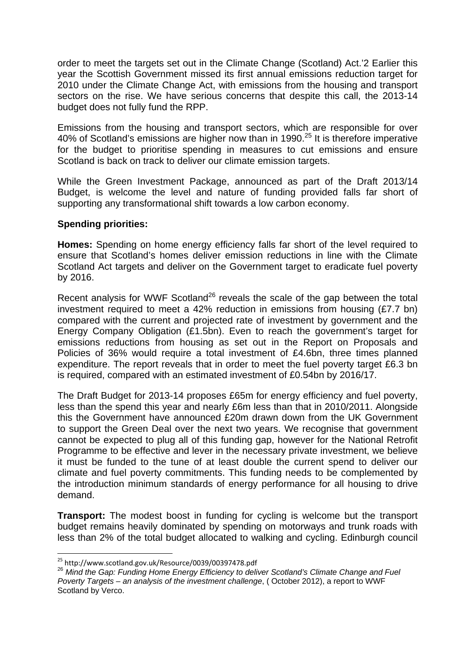order to meet the targets set out in the Climate Change (Scotland) Act.'2 Earlier this year the Scottish Government missed its first annual emissions reduction target for 2010 under the Climate Change Act, with emissions from the housing and transport sectors on the rise. We have serious concerns that despite this call, the 2013-14 budget does not fully fund the RPP.

Emissions from the housing and transport sectors, which are responsible for over 40% of Scotland's emissions are higher now than in 1990.<sup>25</sup> It is therefore imperative for the budget to prioritise spending in measures to cut emissions and ensure Scotland is back on track to deliver our climate emission targets.

While the Green Investment Package, announced as part of the Draft 2013/14 Budget, is welcome the level and nature of funding provided falls far short of supporting any transformational shift towards a low carbon economy.

#### **Spending priorities:**

**Homes:** Spending on home energy efficiency falls far short of the level required to ensure that Scotland's homes deliver emission reductions in line with the Climate Scotland Act targets and deliver on the Government target to eradicate fuel poverty by 2016.

Recent analysis for WWF Scotland<sup>26</sup> reveals the scale of the gap between the total investment required to meet a 42% reduction in emissions from housing (£7.7 bn) compared with the current and projected rate of investment by government and the Energy Company Obligation (£1.5bn). Even to reach the government's target for emissions reductions from housing as set out in the Report on Proposals and Policies of 36% would require a total investment of £4.6bn, three times planned expenditure. The report reveals that in order to meet the fuel poverty target £6.3 bn is required, compared with an estimated investment of £0.54bn by 2016/17.

The Draft Budget for 2013-14 proposes £65m for energy efficiency and fuel poverty, less than the spend this year and nearly £6m less than that in 2010/2011. Alongside this the Government have announced £20m drawn down from the UK Government to support the Green Deal over the next two years. We recognise that government cannot be expected to plug all of this funding gap, however for the National Retrofit Programme to be effective and lever in the necessary private investment, we believe it must be funded to the tune of at least double the current spend to deliver our climate and fuel poverty commitments. This funding needs to be complemented by the introduction minimum standards of energy performance for all housing to drive demand.

**Transport:** The modest boost in funding for cycling is welcome but the transport budget remains heavily dominated by spending on motorways and trunk roads with less than 2% of the total budget allocated to walking and cycling. Edinburgh council

<sup>&</sup>lt;sup>25</sup> http://www.scotland.gov.uk/Resource/0039/00397478.pdf

<sup>26</sup> *Mind the Gap: Funding Home Energy Efficiency to deliver Scotland's Climate Change and Fuel Poverty Targets – an analysis of the investment challenge*, ( October 2012), a report to WWF Scotland by Verco.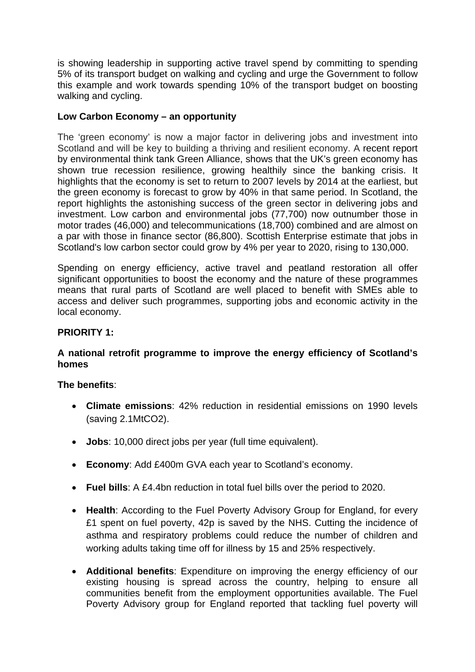is showing leadership in supporting active travel spend by committing to spending 5% of its transport budget on walking and cycling and urge the Government to follow this example and work towards spending 10% of the transport budget on boosting walking and cycling.

## **Low Carbon Economy – an opportunity**

The 'green economy' is now a major factor in delivering jobs and investment into Scotland and will be key to building a thriving and resilient economy. A recent report by environmental think tank Green Alliance, shows that the UK's green economy has shown true recession resilience, growing healthily since the banking crisis. It highlights that the economy is set to return to 2007 levels by 2014 at the earliest, but the green economy is forecast to grow by 40% in that same period. In Scotland, the report highlights the astonishing success of the green sector in delivering jobs and investment. Low carbon and environmental jobs (77,700) now outnumber those in motor trades (46,000) and telecommunications (18,700) combined and are almost on a par with those in finance sector (86,800). Scottish Enterprise estimate that jobs in Scotland's low carbon sector could grow by 4% per year to 2020, rising to 130,000.

Spending on energy efficiency, active travel and peatland restoration all offer significant opportunities to boost the economy and the nature of these programmes means that rural parts of Scotland are well placed to benefit with SMEs able to access and deliver such programmes, supporting jobs and economic activity in the local economy.

## **PRIORITY 1:**

## **A national retrofit programme to improve the energy efficiency of Scotland's homes**

#### **The benefits**:

- **Climate emissions**: 42% reduction in residential emissions on 1990 levels (saving 2.1MtCO2).
- **Jobs**: 10,000 direct jobs per year (full time equivalent).
- **Economy**: Add £400m GVA each year to Scotland's economy.
- **Fuel bills**: A £4.4bn reduction in total fuel bills over the period to 2020.
- **Health**: According to the Fuel Poverty Advisory Group for England, for every £1 spent on fuel poverty, 42p is saved by the NHS. Cutting the incidence of asthma and respiratory problems could reduce the number of children and working adults taking time off for illness by 15 and 25% respectively.
- **Additional benefits**: Expenditure on improving the energy efficiency of our existing housing is spread across the country, helping to ensure all communities benefit from the employment opportunities available. The Fuel Poverty Advisory group for England reported that tackling fuel poverty will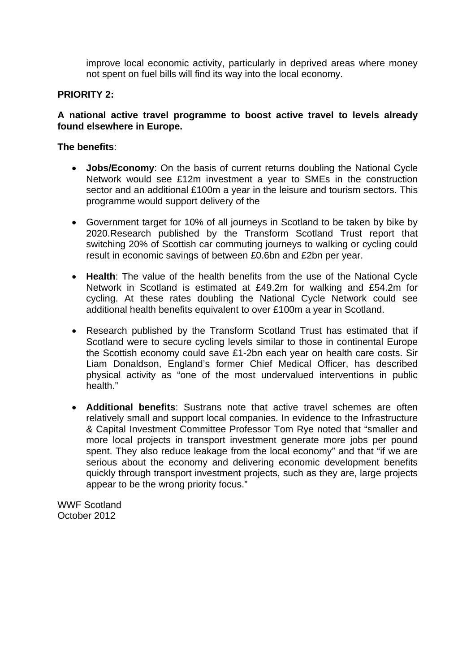improve local economic activity, particularly in deprived areas where money not spent on fuel bills will find its way into the local economy.

#### **PRIORITY 2:**

#### **A national active travel programme to boost active travel to levels already found elsewhere in Europe.**

#### **The benefits**:

- **Jobs/Economy**: On the basis of current returns doubling the National Cycle Network would see £12m investment a year to SMEs in the construction sector and an additional £100m a year in the leisure and tourism sectors. This programme would support delivery of the
- Government target for 10% of all journeys in Scotland to be taken by bike by 2020.Research published by the Transform Scotland Trust report that switching 20% of Scottish car commuting journeys to walking or cycling could result in economic savings of between £0.6bn and £2bn per year.
- **Health**: The value of the health benefits from the use of the National Cycle Network in Scotland is estimated at £49.2m for walking and £54.2m for cycling. At these rates doubling the National Cycle Network could see additional health benefits equivalent to over £100m a year in Scotland.
- Research published by the Transform Scotland Trust has estimated that if Scotland were to secure cycling levels similar to those in continental Europe the Scottish economy could save £1-2bn each year on health care costs. Sir Liam Donaldson, England's former Chief Medical Officer, has described physical activity as "one of the most undervalued interventions in public health."
- **Additional benefits**: Sustrans note that active travel schemes are often relatively small and support local companies. In evidence to the Infrastructure & Capital Investment Committee Professor Tom Rye noted that "smaller and more local projects in transport investment generate more jobs per pound spent. They also reduce leakage from the local economy" and that "if we are serious about the economy and delivering economic development benefits quickly through transport investment projects, such as they are, large projects appear to be the wrong priority focus."

WWF Scotland October 2012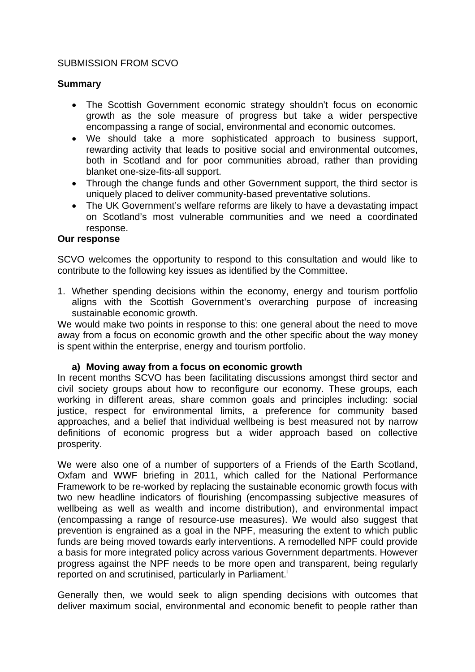#### SUBMISSION FROM SCVO

#### **Summary**

- The Scottish Government economic strategy shouldn't focus on economic growth as the sole measure of progress but take a wider perspective encompassing a range of social, environmental and economic outcomes.
- We should take a more sophisticated approach to business support, rewarding activity that leads to positive social and environmental outcomes, both in Scotland and for poor communities abroad, rather than providing blanket one-size-fits-all support.
- Through the change funds and other Government support, the third sector is uniquely placed to deliver community-based preventative solutions.
- The UK Government's welfare reforms are likely to have a devastating impact on Scotland's most vulnerable communities and we need a coordinated response.

#### **Our response**

SCVO welcomes the opportunity to respond to this consultation and would like to contribute to the following key issues as identified by the Committee.

1. Whether spending decisions within the economy, energy and tourism portfolio aligns with the Scottish Government's overarching purpose of increasing sustainable economic growth.

We would make two points in response to this: one general about the need to move away from a focus on economic growth and the other specific about the way money is spent within the enterprise, energy and tourism portfolio.

#### **a) Moving away from a focus on economic growth**

In recent months SCVO has been facilitating discussions amongst third sector and civil society groups about how to reconfigure our economy. These groups, each working in different areas, share common goals and principles including: social justice, respect for environmental limits, a preference for community based approaches, and a belief that individual wellbeing is best measured not by narrow definitions of economic progress but a wider approach based on collective prosperity.

We were also one of a number of supporters of a Friends of the Earth Scotland, Oxfam and WWF briefing in 2011, which called for the National Performance Framework to be re-worked by replacing the sustainable economic growth focus with two new headline indicators of flourishing (encompassing subjective measures of wellbeing as well as wealth and income distribution), and environmental impact (encompassing a range of resource-use measures). We would also suggest that prevention is engrained as a goal in the NPF, measuring the extent to which public funds are being moved towards early interventions. A remodelled NPF could provide a basis for more integrated policy across various Government departments. However progress against the NPF needs to be more open and transparent, being regularly reported on and scrutinised, particularly in Parliament.<sup>1</sup>

Generally then, we would seek to align spending decisions with outcomes that deliver maximum social, environmental and economic benefit to people rather than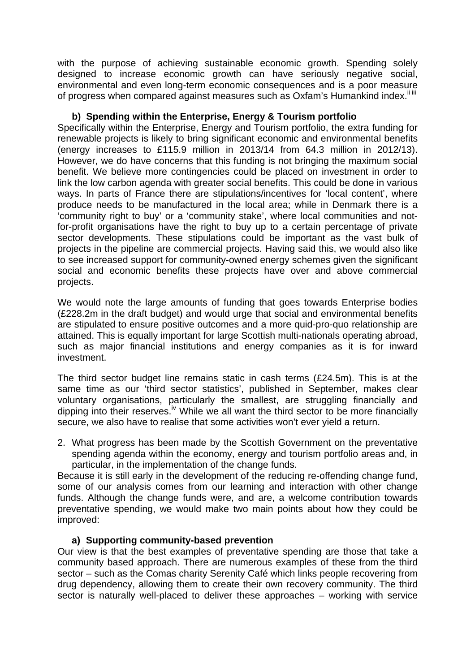with the purpose of achieving sustainable economic growth. Spending solely designed to increase economic growth can have seriously negative social, environmental and even long-term economic consequences and is a poor measure of progress when compared against measures such as Oxfam's Humankind index.<sup>iiiii</sup>

#### **b) Spending within the Enterprise, Energy & Tourism portfolio**

Specifically within the Enterprise, Energy and Tourism portfolio, the extra funding for renewable projects is likely to bring significant economic and environmental benefits (energy increases to £115.9 million in 2013/14 from 64.3 million in 2012/13). However, we do have concerns that this funding is not bringing the maximum social benefit. We believe more contingencies could be placed on investment in order to link the low carbon agenda with greater social benefits. This could be done in various ways. In parts of France there are stipulations/incentives for 'local content', where produce needs to be manufactured in the local area; while in Denmark there is a 'community right to buy' or a 'community stake', where local communities and notfor-profit organisations have the right to buy up to a certain percentage of private sector developments. These stipulations could be important as the vast bulk of projects in the pipeline are commercial projects. Having said this, we would also like to see increased support for community-owned energy schemes given the significant social and economic benefits these projects have over and above commercial projects.

We would note the large amounts of funding that goes towards Enterprise bodies (£228.2m in the draft budget) and would urge that social and environmental benefits are stipulated to ensure positive outcomes and a more quid-pro-quo relationship are attained. This is equally important for large Scottish multi-nationals operating abroad, such as major financial institutions and energy companies as it is for inward investment.

The third sector budget line remains static in cash terms (£24.5m). This is at the same time as our 'third sector statistics', published in September, makes clear voluntary organisations, particularly the smallest, are struggling financially and dipping into their reserves.<sup>iv</sup> While we all want the third sector to be more financially secure, we also have to realise that some activities won't ever yield a return.

2. What progress has been made by the Scottish Government on the preventative spending agenda within the economy, energy and tourism portfolio areas and, in particular, in the implementation of the change funds.

Because it is still early in the development of the reducing re-offending change fund, some of our analysis comes from our learning and interaction with other change funds. Although the change funds were, and are, a welcome contribution towards preventative spending, we would make two main points about how they could be improved:

#### **a) Supporting community-based prevention**

Our view is that the best examples of preventative spending are those that take a community based approach. There are numerous examples of these from the third sector – such as the Comas charity Serenity Café which links people recovering from drug dependency, allowing them to create their own recovery community. The third sector is naturally well-placed to deliver these approaches – working with service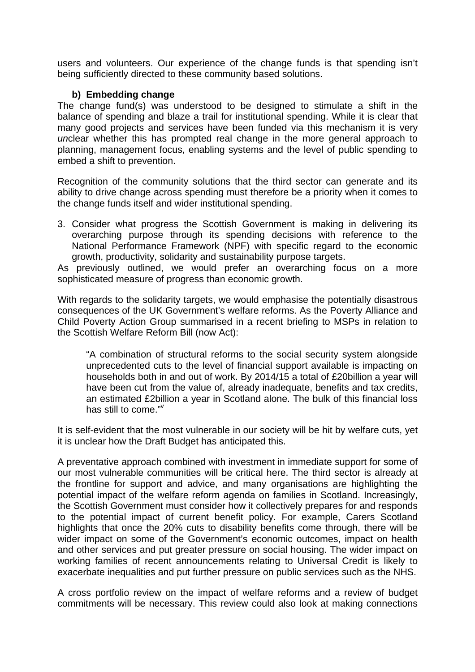users and volunteers. Our experience of the change funds is that spending isn't being sufficiently directed to these community based solutions.

## **b) Embedding change**

The change fund(s) was understood to be designed to stimulate a shift in the balance of spending and blaze a trail for institutional spending. While it is clear that many good projects and services have been funded via this mechanism it is very *un*clear whether this has prompted real change in the more general approach to planning, management focus, enabling systems and the level of public spending to embed a shift to prevention.

Recognition of the community solutions that the third sector can generate and its ability to drive change across spending must therefore be a priority when it comes to the change funds itself and wider institutional spending.

3. Consider what progress the Scottish Government is making in delivering its overarching purpose through its spending decisions with reference to the National Performance Framework (NPF) with specific regard to the economic growth, productivity, solidarity and sustainability purpose targets.

As previously outlined, we would prefer an overarching focus on a more sophisticated measure of progress than economic growth.

With regards to the solidarity targets, we would emphasise the potentially disastrous consequences of the UK Government's welfare reforms. As the Poverty Alliance and Child Poverty Action Group summarised in a recent briefing to MSPs in relation to the Scottish Welfare Reform Bill (now Act):

"A combination of structural reforms to the social security system alongside unprecedented cuts to the level of financial support available is impacting on households both in and out of work. By 2014/15 a total of £20billion a year will have been cut from the value of, already inadequate, benefits and tax credits, an estimated £2billion a year in Scotland alone. The bulk of this financial loss has still to come."v

It is self-evident that the most vulnerable in our society will be hit by welfare cuts, yet it is unclear how the Draft Budget has anticipated this.

A preventative approach combined with investment in immediate support for some of our most vulnerable communities will be critical here. The third sector is already at the frontline for support and advice, and many organisations are highlighting the potential impact of the welfare reform agenda on families in Scotland. Increasingly, the Scottish Government must consider how it collectively prepares for and responds to the potential impact of current benefit policy. For example, Carers Scotland highlights that once the 20% cuts to disability benefits come through, there will be wider impact on some of the Government's economic outcomes, impact on health and other services and put greater pressure on social housing. The wider impact on working families of recent announcements relating to Universal Credit is likely to exacerbate inequalities and put further pressure on public services such as the NHS.

A cross portfolio review on the impact of welfare reforms and a review of budget commitments will be necessary. This review could also look at making connections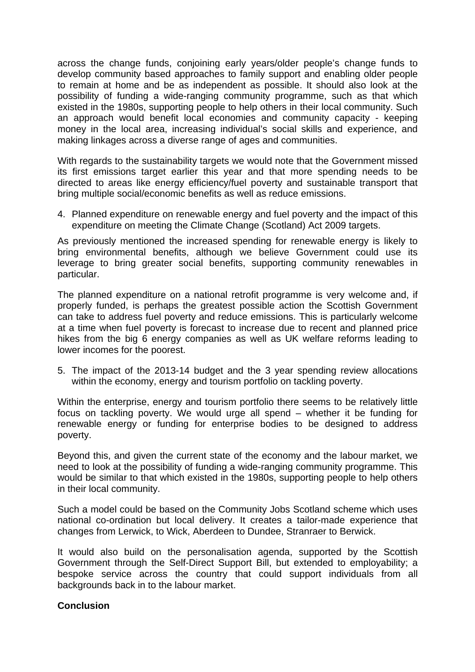across the change funds, conjoining early years/older people's change funds to develop community based approaches to family support and enabling older people to remain at home and be as independent as possible. It should also look at the possibility of funding a wide-ranging community programme, such as that which existed in the 1980s, supporting people to help others in their local community. Such an approach would benefit local economies and community capacity - keeping money in the local area, increasing individual's social skills and experience, and making linkages across a diverse range of ages and communities.

With regards to the sustainability targets we would note that the Government missed its first emissions target earlier this year and that more spending needs to be directed to areas like energy efficiency/fuel poverty and sustainable transport that bring multiple social/economic benefits as well as reduce emissions.

4. Planned expenditure on renewable energy and fuel poverty and the impact of this expenditure on meeting the Climate Change (Scotland) Act 2009 targets.

As previously mentioned the increased spending for renewable energy is likely to bring environmental benefits, although we believe Government could use its leverage to bring greater social benefits, supporting community renewables in particular.

The planned expenditure on a national retrofit programme is very welcome and, if properly funded, is perhaps the greatest possible action the Scottish Government can take to address fuel poverty and reduce emissions. This is particularly welcome at a time when fuel poverty is forecast to increase due to recent and planned price hikes from the big 6 energy companies as well as UK welfare reforms leading to lower incomes for the poorest.

5. The impact of the 2013-14 budget and the 3 year spending review allocations within the economy, energy and tourism portfolio on tackling poverty.

Within the enterprise, energy and tourism portfolio there seems to be relatively little focus on tackling poverty. We would urge all spend – whether it be funding for renewable energy or funding for enterprise bodies to be designed to address poverty.

Beyond this, and given the current state of the economy and the labour market, we need to look at the possibility of funding a wide-ranging community programme. This would be similar to that which existed in the 1980s, supporting people to help others in their local community.

Such a model could be based on the Community Jobs Scotland scheme which uses national co-ordination but local delivery. It creates a tailor-made experience that changes from Lerwick, to Wick, Aberdeen to Dundee, Stranraer to Berwick.

It would also build on the personalisation agenda, supported by the Scottish Government through the Self-Direct Support Bill, but extended to employability; a bespoke service across the country that could support individuals from all backgrounds back in to the labour market.

#### **Conclusion**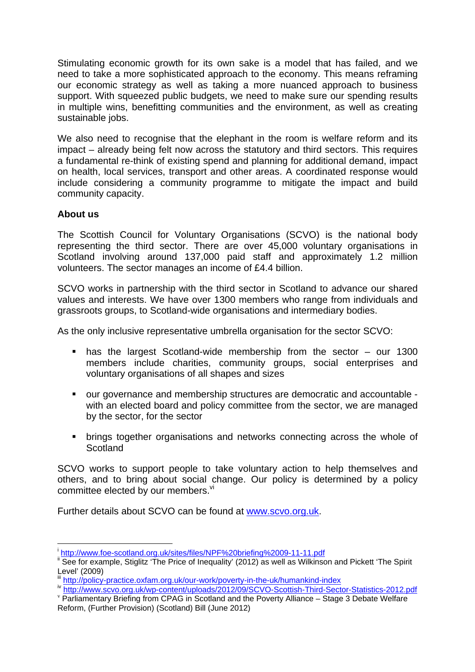Stimulating economic growth for its own sake is a model that has failed, and we need to take a more sophisticated approach to the economy. This means reframing our economic strategy as well as taking a more nuanced approach to business support. With squeezed public budgets, we need to make sure our spending results in multiple wins, benefitting communities and the environment, as well as creating sustainable jobs.

We also need to recognise that the elephant in the room is welfare reform and its impact – already being felt now across the statutory and third sectors. This requires a fundamental re-think of existing spend and planning for additional demand, impact on health, local services, transport and other areas. A coordinated response would include considering a community programme to mitigate the impact and build community capacity.

#### **About us**

 $\overline{a}$ 

The Scottish Council for Voluntary Organisations (SCVO) is the national body representing the third sector. There are over 45,000 voluntary organisations in Scotland involving around 137,000 paid staff and approximately 1.2 million volunteers. The sector manages an income of £4.4 billion.

SCVO works in partnership with the third sector in Scotland to advance our shared values and interests. We have over 1300 members who range from individuals and grassroots groups, to Scotland-wide organisations and intermediary bodies.

As the only inclusive representative umbrella organisation for the sector SCVO:

- has the largest Scotland-wide membership from the sector our 1300 members include charities, community groups, social enterprises and voluntary organisations of all shapes and sizes
- our governance and membership structures are democratic and accountable with an elected board and policy committee from the sector, we are managed by the sector, for the sector
- brings together organisations and networks connecting across the whole of **Scotland**

SCVO works to support people to take voluntary action to help themselves and others, and to bring about social change. Our policy is determined by a policy committee elected by our members.<sup>vi</sup>

Further details about SCVO can be found at www.scvo.org.uk.

<sup>&</sup>lt;sup>i</sup>http://www.foe-scotland.org.uk/sites/files/NPF%20briefing%2009-11-11.pdf

 $\frac{1}{2}$  See for example, Stiglitz 'The Price of Inequality' (2012) as well as Wilkinson and Pickett 'The Spirit Level' (2009)<br>iii http://policy-practice.oxfam.org.uk/our-work/poverty-in-the-uk/humankind-index

iv http://www.scvo.org.uk/wp-content/uploads/2012/09/SCVO-Scottish-Third-Sector-Statistics-2012.pdf<br>Parliamentary Briefing from CPAG in Scotland and the Poverty Alliance – Stage 3 Debate Welfare

Reform, (Further Provision) (Scotland) Bill (June 2012)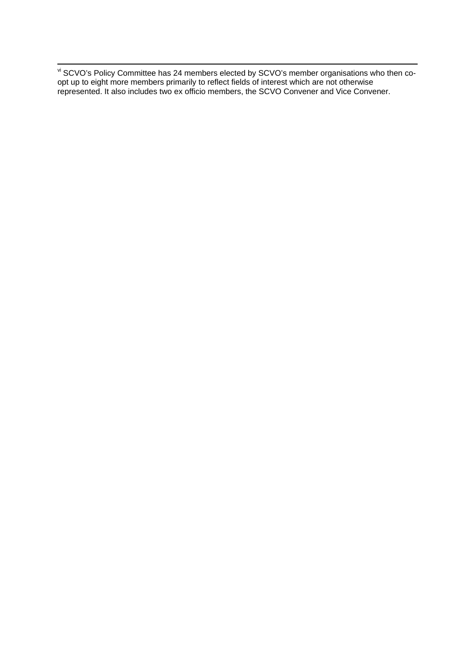viesdance Communical Communication Communications who then co-<br>Viesdance of SCVO's Policy Communice has 24 members elected by SCVO's member organisations who then coopt up to eight more members primarily to reflect fields of interest which are not otherwise represented. It also includes two ex officio members, the SCVO Convener and Vice Convener.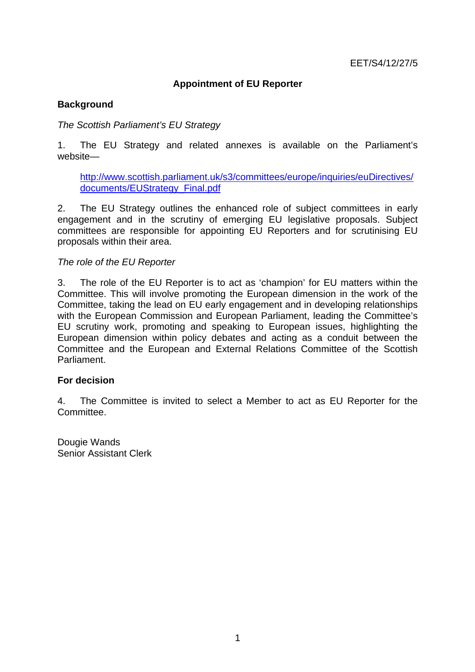# **Appointment of EU Reporter**

## **Background**

## *The Scottish Parliament's EU Strategy*

1. The EU Strategy and related annexes is available on the Parliament's website—

http://www.scottish.parliament.uk/s3/committees/europe/inquiries/euDirectives/ documents/EUStrategy\_Final.pdf

2. The EU Strategy outlines the enhanced role of subject committees in early engagement and in the scrutiny of emerging EU legislative proposals. Subject committees are responsible for appointing EU Reporters and for scrutinising EU proposals within their area.

#### *The role of the EU Reporter*

3. The role of the EU Reporter is to act as 'champion' for EU matters within the Committee. This will involve promoting the European dimension in the work of the Committee, taking the lead on EU early engagement and in developing relationships with the European Commission and European Parliament, leading the Committee's EU scrutiny work, promoting and speaking to European issues, highlighting the European dimension within policy debates and acting as a conduit between the Committee and the European and External Relations Committee of the Scottish Parliament.

### **For decision**

4. The Committee is invited to select a Member to act as EU Reporter for the Committee.

Dougie Wands Senior Assistant Clerk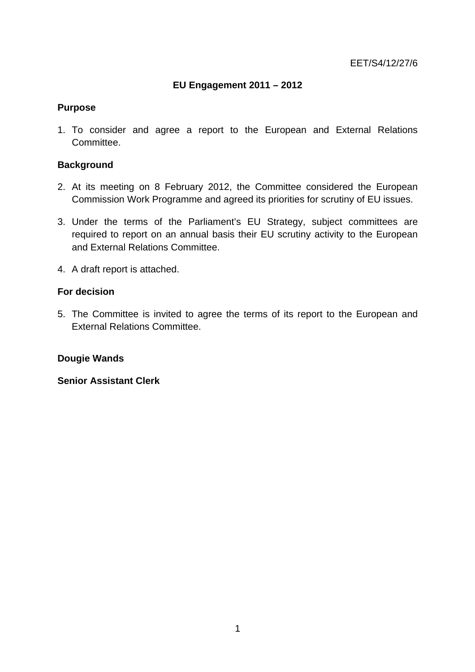# **EU Engagement 2011 – 2012**

## **Purpose**

1. To consider and agree a report to the European and External Relations Committee.

## **Background**

- 2. At its meeting on 8 February 2012, the Committee considered the European Commission Work Programme and agreed its priorities for scrutiny of EU issues.
- 3. Under the terms of the Parliament's EU Strategy, subject committees are required to report on an annual basis their EU scrutiny activity to the European and External Relations Committee.
- 4. A draft report is attached.

#### **For decision**

5. The Committee is invited to agree the terms of its report to the European and External Relations Committee.

#### **Dougie Wands**

**Senior Assistant Clerk**